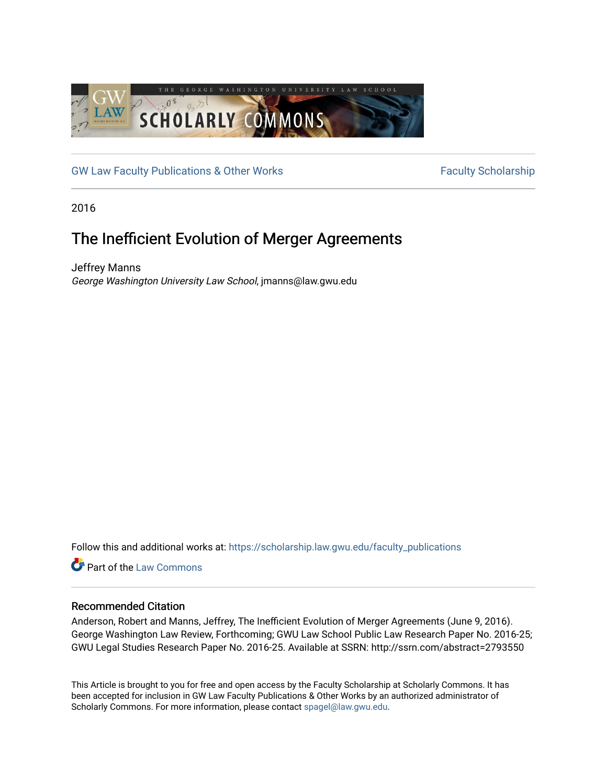

[GW Law Faculty Publications & Other Works](https://scholarship.law.gwu.edu/faculty_publications) Faculty Scholarship

2016

## The Inefficient Evolution of Merger Agreements

Jeffrey Manns George Washington University Law School, jmanns@law.gwu.edu

Follow this and additional works at: [https://scholarship.law.gwu.edu/faculty\\_publications](https://scholarship.law.gwu.edu/faculty_publications?utm_source=scholarship.law.gwu.edu%2Ffaculty_publications%2F1211&utm_medium=PDF&utm_campaign=PDFCoverPages) 

**C**<sup> $\bullet$ </sup> Part of the [Law Commons](http://network.bepress.com/hgg/discipline/578?utm_source=scholarship.law.gwu.edu%2Ffaculty_publications%2F1211&utm_medium=PDF&utm_campaign=PDFCoverPages)

#### Recommended Citation

Anderson, Robert and Manns, Jeffrey, The Inefficient Evolution of Merger Agreements (June 9, 2016). George Washington Law Review, Forthcoming; GWU Law School Public Law Research Paper No. 2016-25; GWU Legal Studies Research Paper No. 2016-25. Available at SSRN: http://ssrn.com/abstract=2793550

This Article is brought to you for free and open access by the Faculty Scholarship at Scholarly Commons. It has been accepted for inclusion in GW Law Faculty Publications & Other Works by an authorized administrator of Scholarly Commons. For more information, please contact [spagel@law.gwu.edu](mailto:spagel@law.gwu.edu).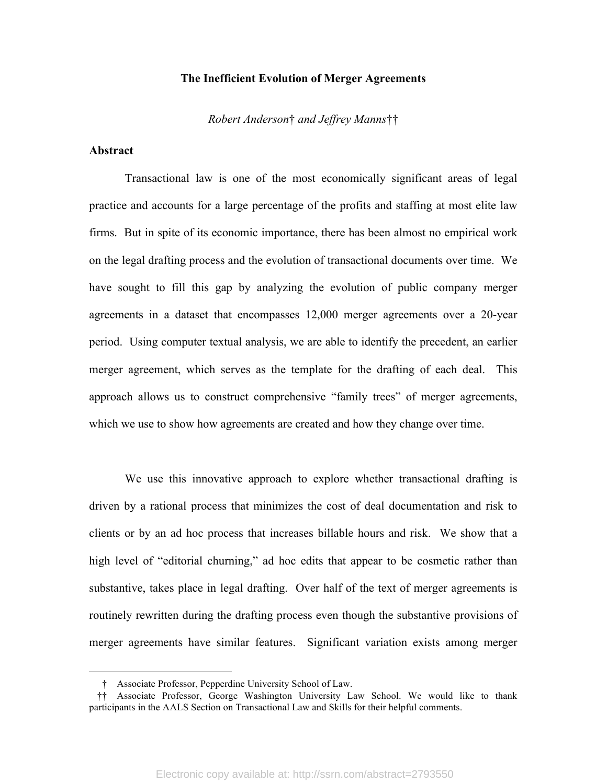#### **The Inefficient Evolution of Merger Agreements**

*Robert Anderson*† *and Jeffrey Manns*††

#### **Abstract**

 $\overline{a}$ 

Transactional law is one of the most economically significant areas of legal practice and accounts for a large percentage of the profits and staffing at most elite law firms. But in spite of its economic importance, there has been almost no empirical work on the legal drafting process and the evolution of transactional documents over time. We have sought to fill this gap by analyzing the evolution of public company merger agreements in a dataset that encompasses 12,000 merger agreements over a 20-year period. Using computer textual analysis, we are able to identify the precedent, an earlier merger agreement, which serves as the template for the drafting of each deal. This approach allows us to construct comprehensive "family trees" of merger agreements, which we use to show how agreements are created and how they change over time.

We use this innovative approach to explore whether transactional drafting is driven by a rational process that minimizes the cost of deal documentation and risk to clients or by an ad hoc process that increases billable hours and risk. We show that a high level of "editorial churning," ad hoc edits that appear to be cosmetic rather than substantive, takes place in legal drafting. Over half of the text of merger agreements is routinely rewritten during the drafting process even though the substantive provisions of merger agreements have similar features. Significant variation exists among merger

<sup>†</sup> Associate Professor, Pepperdine University School of Law.

<sup>††</sup> Associate Professor, George Washington University Law School. We would like to thank participants in the AALS Section on Transactional Law and Skills for their helpful comments.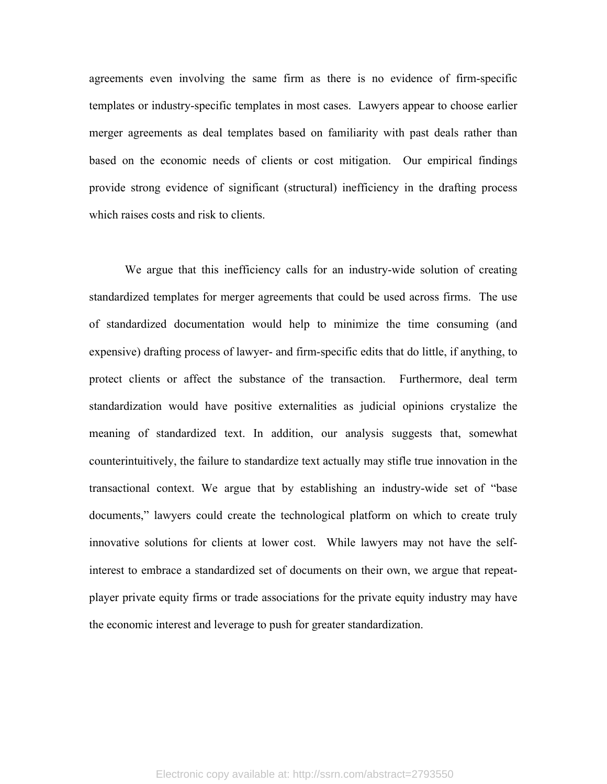agreements even involving the same firm as there is no evidence of firm-specific templates or industry-specific templates in most cases. Lawyers appear to choose earlier merger agreements as deal templates based on familiarity with past deals rather than based on the economic needs of clients or cost mitigation. Our empirical findings provide strong evidence of significant (structural) inefficiency in the drafting process which raises costs and risk to clients.

We argue that this inefficiency calls for an industry-wide solution of creating standardized templates for merger agreements that could be used across firms. The use of standardized documentation would help to minimize the time consuming (and expensive) drafting process of lawyer- and firm-specific edits that do little, if anything, to protect clients or affect the substance of the transaction. Furthermore, deal term standardization would have positive externalities as judicial opinions crystalize the meaning of standardized text. In addition, our analysis suggests that, somewhat counterintuitively, the failure to standardize text actually may stifle true innovation in the transactional context. We argue that by establishing an industry-wide set of "base documents," lawyers could create the technological platform on which to create truly innovative solutions for clients at lower cost. While lawyers may not have the selfinterest to embrace a standardized set of documents on their own, we argue that repeatplayer private equity firms or trade associations for the private equity industry may have the economic interest and leverage to push for greater standardization.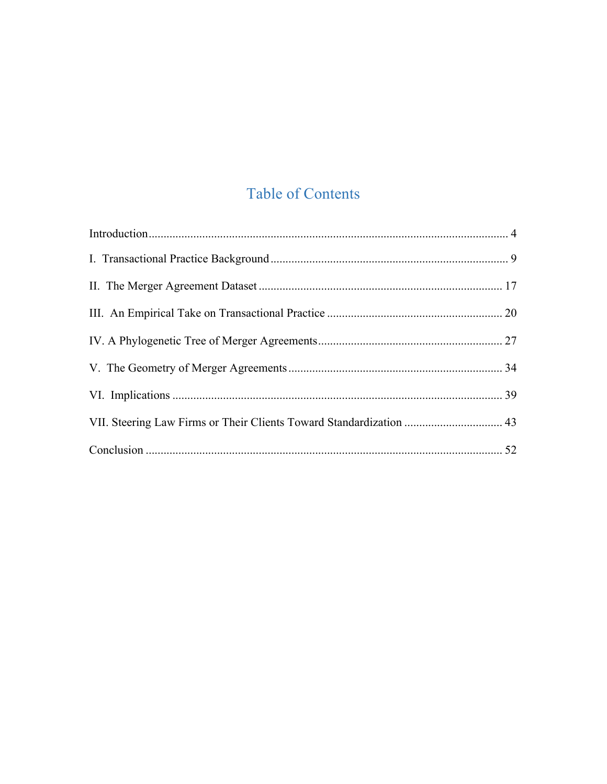# **Table of Contents**

| VII. Steering Law Firms or Their Clients Toward Standardization  43 |  |
|---------------------------------------------------------------------|--|
|                                                                     |  |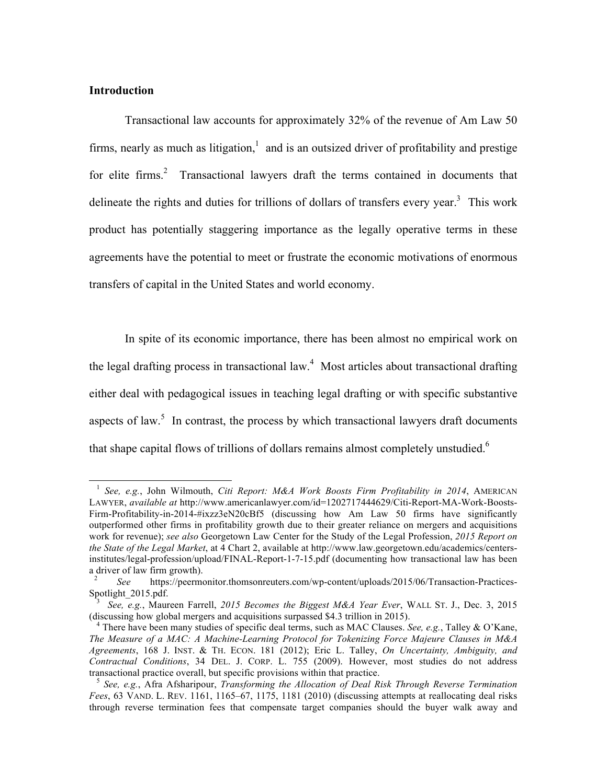#### **Introduction**

 $\overline{a}$ 

Transactional law accounts for approximately 32% of the revenue of Am Law 50 firms, nearly as much as litigation, $\frac{1}{1}$  and is an outsized driver of profitability and prestige for elite firms.<sup>2</sup> Transactional lawyers draft the terms contained in documents that delineate the rights and duties for trillions of dollars of transfers every year.<sup>3</sup> This work product has potentially staggering importance as the legally operative terms in these agreements have the potential to meet or frustrate the economic motivations of enormous transfers of capital in the United States and world economy.

In spite of its economic importance, there has been almost no empirical work on the legal drafting process in transactional law.<sup>4</sup> Most articles about transactional drafting either deal with pedagogical issues in teaching legal drafting or with specific substantive aspects of law.<sup>5</sup> In contrast, the process by which transactional lawyers draft documents that shape capital flows of trillions of dollars remains almost completely unstudied.<sup>6</sup>

<sup>1</sup> *See, e.g.*, John Wilmouth, *Citi Report: M&A Work Boosts Firm Profitability in 2014*, AMERICAN LAWYER, *available at* http://www.americanlawyer.com/id=1202717444629/Citi-Report-MA-Work-Boosts-Firm-Profitability-in-2014-#ixzz3eN20cBf5 (discussing how Am Law 50 firms have significantly outperformed other firms in profitability growth due to their greater reliance on mergers and acquisitions work for revenue); *see also* Georgetown Law Center for the Study of the Legal Profession, *2015 Report on the State of the Legal Market*, at 4 Chart 2, available at http://www.law.georgetown.edu/academics/centersinstitutes/legal-profession/upload/FINAL-Report-1-7-15.pdf (documenting how transactional law has been a driver of law firm growth).

<sup>2</sup> *See* https://peermonitor.thomsonreuters.com/wp-content/uploads/2015/06/Transaction-Practices-Spotlight\_2015.pdf.

<sup>3</sup> *See, e.g.*, Maureen Farrell, *2015 Becomes the Biggest M&A Year Ever*, WALL ST. J., Dec. 3, 2015 (discussing how global mergers and acquisitions surpassed \$4.3 trillion in 2015).

<sup>4</sup> There have been many studies of specific deal terms, such as MAC Clauses. *See, e.g.*, Talley & O'Kane, *The Measure of a MAC: A Machine-Learning Protocol for Tokenizing Force Majeure Clauses in M&A Agreements*, 168 J. INST. & TH. ECON. 181 (2012); Eric L. Talley, *On Uncertainty, Ambiguity, and Contractual Conditions*, 34 DEL. J. CORP. L. 755 (2009). However, most studies do not address transactional practice overall, but specific provisions within that practice.

<sup>5</sup> *See, e.g.*, Afra Afsharipour, *Transforming the Allocation of Deal Risk Through Reverse Termination Fees*, 63 VAND. L. REV. 1161, 1165–67, 1175, 1181 (2010) (discussing attempts at reallocating deal risks through reverse termination fees that compensate target companies should the buyer walk away and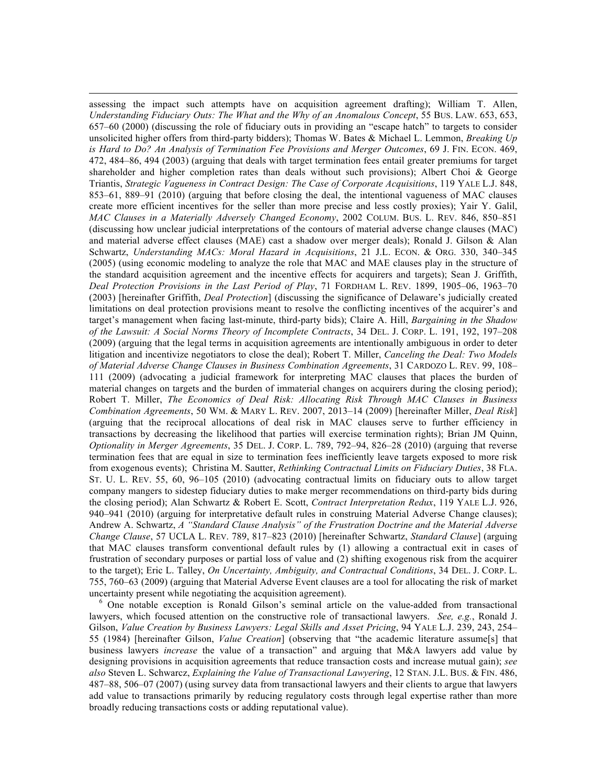assessing the impact such attempts have on acquisition agreement drafting); William T. Allen, *Understanding Fiduciary Outs: The What and the Why of an Anomalous Concept*, 55 BUS. LAW. 653, 653, 657–60 (2000) (discussing the role of fiduciary outs in providing an "escape hatch" to targets to consider unsolicited higher offers from third-party bidders); Thomas W. Bates & Michael L. Lemmon, *Breaking Up is Hard to Do? An Analysis of Termination Fee Provisions and Merger Outcomes*, 69 J. FIN. ECON. 469, 472, 484–86, 494 (2003) (arguing that deals with target termination fees entail greater premiums for target shareholder and higher completion rates than deals without such provisions); Albert Choi & George Triantis, *Strategic Vagueness in Contract Design: The Case of Corporate Acquisitions*, 119 YALE L.J. 848, 853–61, 889–91 (2010) (arguing that before closing the deal, the intentional vagueness of MAC clauses create more efficient incentives for the seller than more precise and less costly proxies); Yair Y. Galil, *MAC Clauses in a Materially Adversely Changed Economy*, 2002 COLUM. BUS. L. REV. 846, 850–851 (discussing how unclear judicial interpretations of the contours of material adverse change clauses (MAC) and material adverse effect clauses (MAE) cast a shadow over merger deals); Ronald J. Gilson & Alan Schwartz, *Understanding MACs: Moral Hazard in Acquisitions*, 21 J.L. ECON. & ORG. 330, 340–345 (2005) (using economic modeling to analyze the role that MAC and MAE clauses play in the structure of the standard acquisition agreement and the incentive effects for acquirers and targets); Sean J. Griffith, *Deal Protection Provisions in the Last Period of Play*, 71 FORDHAM L. REV. 1899, 1905–06, 1963–70 (2003) [hereinafter Griffith, *Deal Protection*] (discussing the significance of Delaware's judicially created limitations on deal protection provisions meant to resolve the conflicting incentives of the acquirer's and target's management when facing last-minute, third-party bids); Claire A. Hill, *Bargaining in the Shadow of the Lawsuit: A Social Norms Theory of Incomplete Contracts*, 34 DEL. J. CORP. L. 191, 192, 197–208 (2009) (arguing that the legal terms in acquisition agreements are intentionally ambiguous in order to deter litigation and incentivize negotiators to close the deal); Robert T. Miller, *Canceling the Deal: Two Models of Material Adverse Change Clauses in Business Combination Agreements*, 31 CARDOZO L. REV. 99, 108– 111 (2009) (advocating a judicial framework for interpreting MAC clauses that places the burden of material changes on targets and the burden of immaterial changes on acquirers during the closing period); Robert T. Miller, *The Economics of Deal Risk: Allocating Risk Through MAC Clauses in Business Combination Agreements*, 50 WM. & MARY L. REV. 2007, 2013–14 (2009) [hereinafter Miller, *Deal Risk*] (arguing that the reciprocal allocations of deal risk in MAC clauses serve to further efficiency in transactions by decreasing the likelihood that parties will exercise termination rights); Brian JM Quinn, *Optionality in Merger Agreements*, 35 DEL. J. CORP. L. 789, 792–94, 826–28 (2010) (arguing that reverse termination fees that are equal in size to termination fees inefficiently leave targets exposed to more risk from exogenous events); Christina M. Sautter, *Rethinking Contractual Limits on Fiduciary Duties*, 38 FLA. ST. U. L. REV. 55, 60, 96–105 (2010) (advocating contractual limits on fiduciary outs to allow target company mangers to sidestep fiduciary duties to make merger recommendations on third-party bids during the closing period); Alan Schwartz & Robert E. Scott, *Contract Interpretation Redux*, 119 YALE L.J. 926, 940–941 (2010) (arguing for interpretative default rules in construing Material Adverse Change clauses); Andrew A. Schwartz, *A "Standard Clause Analysis" of the Frustration Doctrine and the Material Adverse Change Clause*, 57 UCLA L. REV. 789, 817–823 (2010) [hereinafter Schwartz, *Standard Clause*] (arguing that MAC clauses transform conventional default rules by (1) allowing a contractual exit in cases of frustration of secondary purposes or partial loss of value and (2) shifting exogenous risk from the acquirer to the target); Eric L. Talley, *On Uncertainty, Ambiguity, and Contractual Conditions*, 34 DEL. J. CORP. L. 755, 760–63 (2009) (arguing that Material Adverse Event clauses are a tool for allocating the risk of market uncertainty present while negotiating the acquisition agreement).

 $\overline{a}$ 

 <sup>6</sup> One notable exception is Ronald Gilson's seminal article on the value-added from transactional lawyers, which focused attention on the constructive role of transactional lawyers. *See, e.g.*, Ronald J. Gilson, *Value Creation by Business Lawyers: Legal Skills and Asset Pricing*, 94 YALE L.J. 239, 243, 254– 55 (1984) [hereinafter Gilson, *Value Creation*] (observing that "the academic literature assume[s] that business lawyers *increase* the value of a transaction" and arguing that M&A lawyers add value by designing provisions in acquisition agreements that reduce transaction costs and increase mutual gain); *see also* Steven L. Schwarcz, *Explaining the Value of Transactional Lawyering*, 12 STAN. J.L. BUS. & FIN. 486, 487–88, 506–07 (2007) (using survey data from transactional lawyers and their clients to argue that lawyers add value to transactions primarily by reducing regulatory costs through legal expertise rather than more broadly reducing transactions costs or adding reputational value).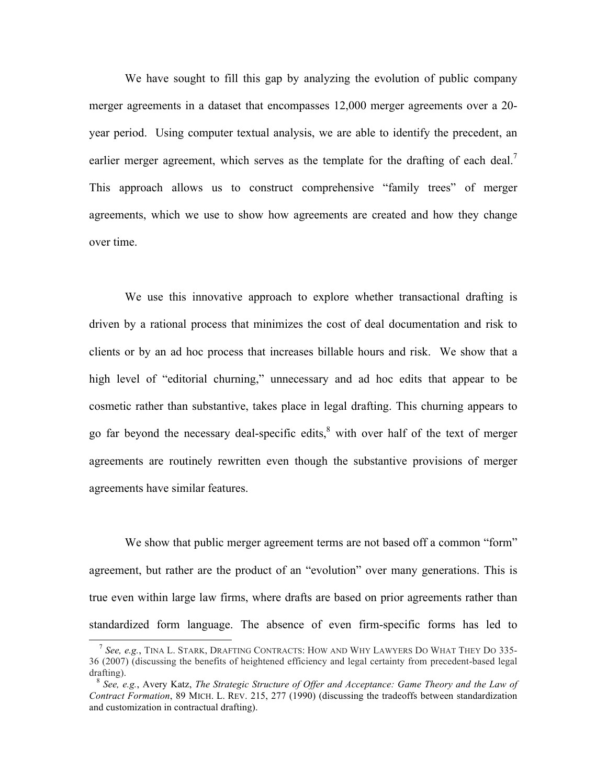We have sought to fill this gap by analyzing the evolution of public company merger agreements in a dataset that encompasses 12,000 merger agreements over a 20 year period. Using computer textual analysis, we are able to identify the precedent, an earlier merger agreement, which serves as the template for the drafting of each deal.<sup>7</sup> This approach allows us to construct comprehensive "family trees" of merger agreements, which we use to show how agreements are created and how they change over time.

We use this innovative approach to explore whether transactional drafting is driven by a rational process that minimizes the cost of deal documentation and risk to clients or by an ad hoc process that increases billable hours and risk. We show that a high level of "editorial churning," unnecessary and ad hoc edits that appear to be cosmetic rather than substantive, takes place in legal drafting. This churning appears to go far beyond the necessary deal-specific edits, $\frac{8}{3}$  with over half of the text of merger agreements are routinely rewritten even though the substantive provisions of merger agreements have similar features.

We show that public merger agreement terms are not based off a common "form" agreement, but rather are the product of an "evolution" over many generations. This is true even within large law firms, where drafts are based on prior agreements rather than standardized form language. The absence of even firm-specific forms has led to

<sup>7</sup> *See, e.g.*, TINA L. STARK, DRAFTING CONTRACTS: HOW AND WHY LAWYERS DO WHAT THEY DO 335- 36 (2007) (discussing the benefits of heightened efficiency and legal certainty from precedent-based legal drafting).

<sup>8</sup> *See, e.g.*, Avery Katz, *The Strategic Structure of Offer and Acceptance: Game Theory and the Law of Contract Formation*, 89 MICH. L. REV. 215, 277 (1990) (discussing the tradeoffs between standardization and customization in contractual drafting).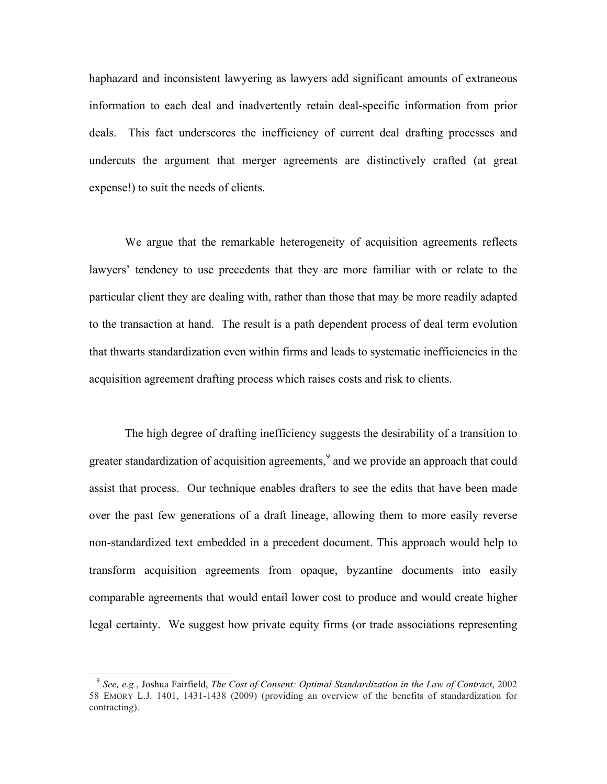haphazard and inconsistent lawyering as lawyers add significant amounts of extraneous information to each deal and inadvertently retain deal-specific information from prior deals. This fact underscores the inefficiency of current deal drafting processes and undercuts the argument that merger agreements are distinctively crafted (at great expense!) to suit the needs of clients.

We argue that the remarkable heterogeneity of acquisition agreements reflects lawyers' tendency to use precedents that they are more familiar with or relate to the particular client they are dealing with, rather than those that may be more readily adapted to the transaction at hand. The result is a path dependent process of deal term evolution that thwarts standardization even within firms and leads to systematic inefficiencies in the acquisition agreement drafting process which raises costs and risk to clients.

The high degree of drafting inefficiency suggests the desirability of a transition to greater standardization of acquisition agreements,<sup>9</sup> and we provide an approach that could assist that process. Our technique enables drafters to see the edits that have been made over the past few generations of a draft lineage, allowing them to more easily reverse non-standardized text embedded in a precedent document. This approach would help to transform acquisition agreements from opaque, byzantine documents into easily comparable agreements that would entail lower cost to produce and would create higher legal certainty. We suggest how private equity firms (or trade associations representing

<sup>9</sup> *See, e.g.*, Joshua Fairfield, *The Cost of Consent: Optimal Standardization in the Law of Contract*, 2002 58 EMORY L.J. 1401, 1431-1438 (2009) (providing an overview of the benefits of standardization for contracting).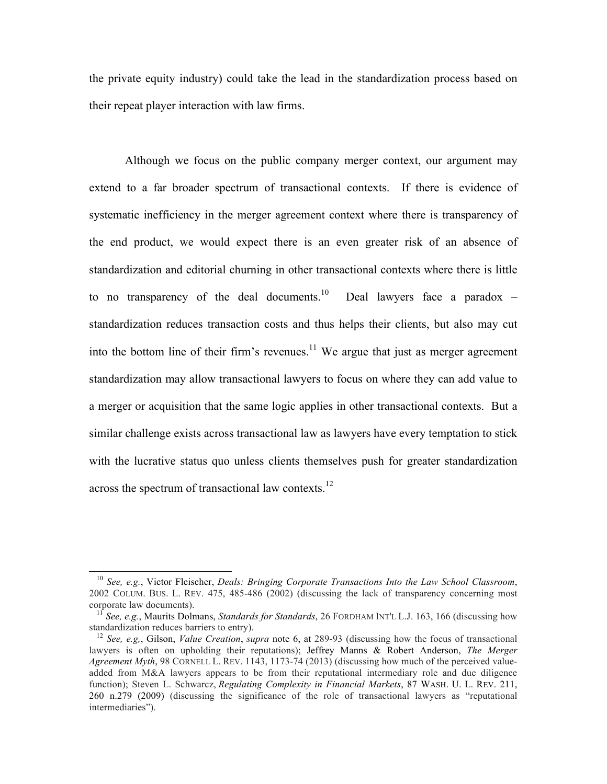the private equity industry) could take the lead in the standardization process based on their repeat player interaction with law firms.

Although we focus on the public company merger context, our argument may extend to a far broader spectrum of transactional contexts. If there is evidence of systematic inefficiency in the merger agreement context where there is transparency of the end product, we would expect there is an even greater risk of an absence of standardization and editorial churning in other transactional contexts where there is little to no transparency of the deal documents.<sup>10</sup> Deal lawyers face a paradox  $$ standardization reduces transaction costs and thus helps their clients, but also may cut into the bottom line of their firm's revenues.<sup>11</sup> We argue that just as merger agreement standardization may allow transactional lawyers to focus on where they can add value to a merger or acquisition that the same logic applies in other transactional contexts. But a similar challenge exists across transactional law as lawyers have every temptation to stick with the lucrative status quo unless clients themselves push for greater standardization across the spectrum of transactional law contexts.<sup>12</sup>

<sup>10</sup> *See, e.g.*, Victor Fleischer, *Deals: Bringing Corporate Transactions Into the Law School Classroom*, 2002 COLUM. BUS. L. REV. 475, 485-486 (2002) (discussing the lack of transparency concerning most corporate law documents).

<sup>11</sup> *See, e.g.*, Maurits Dolmans, *Standards for Standards*, 26 FORDHAM INT'L L.J. 163, 166 (discussing how standardization reduces barriers to entry).

<sup>12</sup> *See, e.g,*, Gilson, *Value Creation*, *supra* note 6, at 289-93 (discussing how the focus of transactional lawyers is often on upholding their reputations); Jeffrey Manns & Robert Anderson, *The Merger Agreement Myth*, 98 CORNELL L. REV. 1143, 1173-74 (2013) (discussing how much of the perceived valueadded from M&A lawyers appears to be from their reputational intermediary role and due diligence function); Steven L. Schwarcz, *Regulating Complexity in Financial Markets*, 87 WASH. U. L. REV. 211, 260 n.279 (2009) (discussing the significance of the role of transactional lawyers as "reputational intermediaries").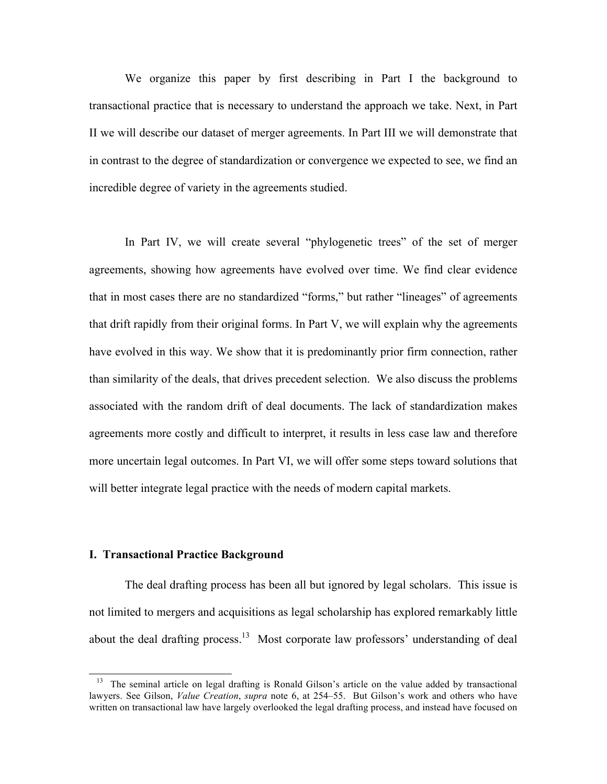We organize this paper by first describing in Part I the background to transactional practice that is necessary to understand the approach we take. Next, in Part II we will describe our dataset of merger agreements. In Part III we will demonstrate that in contrast to the degree of standardization or convergence we expected to see, we find an incredible degree of variety in the agreements studied.

In Part IV, we will create several "phylogenetic trees" of the set of merger agreements, showing how agreements have evolved over time. We find clear evidence that in most cases there are no standardized "forms," but rather "lineages" of agreements that drift rapidly from their original forms. In Part V, we will explain why the agreements have evolved in this way. We show that it is predominantly prior firm connection, rather than similarity of the deals, that drives precedent selection. We also discuss the problems associated with the random drift of deal documents. The lack of standardization makes agreements more costly and difficult to interpret, it results in less case law and therefore more uncertain legal outcomes. In Part VI, we will offer some steps toward solutions that will better integrate legal practice with the needs of modern capital markets.

#### **I. Transactional Practice Background**

 $\overline{a}$ 

The deal drafting process has been all but ignored by legal scholars. This issue is not limited to mergers and acquisitions as legal scholarship has explored remarkably little about the deal drafting process.<sup>13</sup> Most corporate law professors' understanding of deal

<sup>&</sup>lt;sup>13</sup> The seminal article on legal drafting is Ronald Gilson's article on the value added by transactional lawyers. See Gilson, *Value Creation*, *supra* note 6, at 254–55. But Gilson's work and others who have written on transactional law have largely overlooked the legal drafting process, and instead have focused on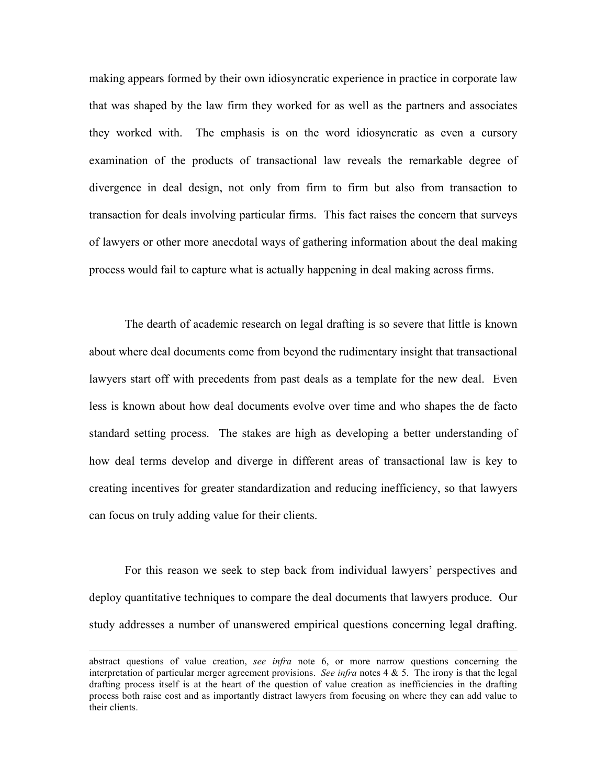making appears formed by their own idiosyncratic experience in practice in corporate law that was shaped by the law firm they worked for as well as the partners and associates they worked with. The emphasis is on the word idiosyncratic as even a cursory examination of the products of transactional law reveals the remarkable degree of divergence in deal design, not only from firm to firm but also from transaction to transaction for deals involving particular firms. This fact raises the concern that surveys of lawyers or other more anecdotal ways of gathering information about the deal making process would fail to capture what is actually happening in deal making across firms.

The dearth of academic research on legal drafting is so severe that little is known about where deal documents come from beyond the rudimentary insight that transactional lawyers start off with precedents from past deals as a template for the new deal. Even less is known about how deal documents evolve over time and who shapes the de facto standard setting process. The stakes are high as developing a better understanding of how deal terms develop and diverge in different areas of transactional law is key to creating incentives for greater standardization and reducing inefficiency, so that lawyers can focus on truly adding value for their clients.

For this reason we seek to step back from individual lawyers' perspectives and deploy quantitative techniques to compare the deal documents that lawyers produce. Our study addresses a number of unanswered empirical questions concerning legal drafting.

abstract questions of value creation, *see infra* note 6, or more narrow questions concerning the interpretation of particular merger agreement provisions. *See infra* notes 4 & 5. The irony is that the legal drafting process itself is at the heart of the question of value creation as inefficiencies in the drafting process both raise cost and as importantly distract lawyers from focusing on where they can add value to their clients.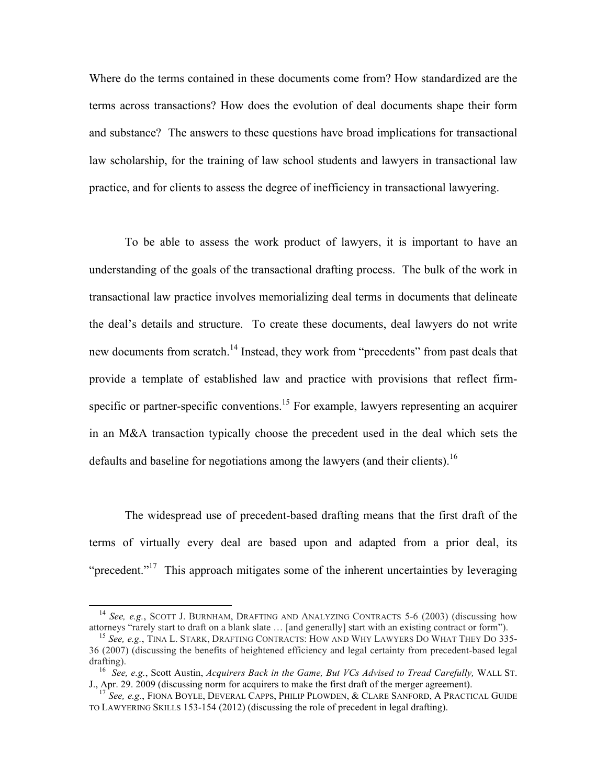Where do the terms contained in these documents come from? How standardized are the terms across transactions? How does the evolution of deal documents shape their form and substance? The answers to these questions have broad implications for transactional law scholarship, for the training of law school students and lawyers in transactional law practice, and for clients to assess the degree of inefficiency in transactional lawyering.

To be able to assess the work product of lawyers, it is important to have an understanding of the goals of the transactional drafting process. The bulk of the work in transactional law practice involves memorializing deal terms in documents that delineate the deal's details and structure. To create these documents, deal lawyers do not write new documents from scratch.<sup>14</sup> Instead, they work from "precedents" from past deals that provide a template of established law and practice with provisions that reflect firmspecific or partner-specific conventions.<sup>15</sup> For example, lawyers representing an acquirer in an M&A transaction typically choose the precedent used in the deal which sets the defaults and baseline for negotiations among the lawyers (and their clients).<sup>16</sup>

The widespread use of precedent-based drafting means that the first draft of the terms of virtually every deal are based upon and adapted from a prior deal, its "precedent."<sup>17</sup> This approach mitigates some of the inherent uncertainties by leveraging

<sup>&</sup>lt;sup>14</sup> *See, e.g.*, SCOTT J. BURNHAM, DRAFTING AND ANALYZING CONTRACTS 5-6 (2003) (discussing how attorneys "rarely start to draft on a blank slate … [and generally] start with an existing contract or form").

<sup>15</sup> *See, e.g.*, TINA L. STARK, DRAFTING CONTRACTS: HOW AND WHY LAWYERS DO WHAT THEY DO 335- 36 (2007) (discussing the benefits of heightened efficiency and legal certainty from precedent-based legal drafting).

16 *See, e.g.*, Scott Austin, *Acquirers Back in the Game, But VCs Advised to Tread Carefully,* WALL ST. J., Apr. 29. 2009 (discussing norm for acquirers to make the first draft of the merger agreement).

<sup>17</sup> *See, e.g.*, FIONA BOYLE, DEVERAL CAPPS, PHILIP PLOWDEN, & CLARE SANFORD, A PRACTICAL GUIDE TO LAWYERING SKILLS 153-154 (2012) (discussing the role of precedent in legal drafting).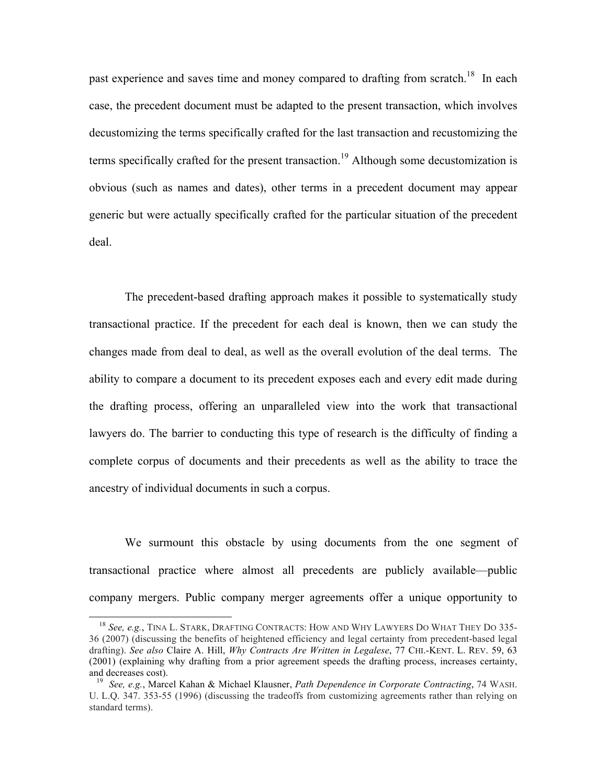past experience and saves time and money compared to drafting from scratch.<sup>18</sup> In each case, the precedent document must be adapted to the present transaction, which involves decustomizing the terms specifically crafted for the last transaction and recustomizing the terms specifically crafted for the present transaction.<sup>19</sup> Although some decustomization is obvious (such as names and dates), other terms in a precedent document may appear generic but were actually specifically crafted for the particular situation of the precedent deal.

The precedent-based drafting approach makes it possible to systematically study transactional practice. If the precedent for each deal is known, then we can study the changes made from deal to deal, as well as the overall evolution of the deal terms. The ability to compare a document to its precedent exposes each and every edit made during the drafting process, offering an unparalleled view into the work that transactional lawyers do. The barrier to conducting this type of research is the difficulty of finding a complete corpus of documents and their precedents as well as the ability to trace the ancestry of individual documents in such a corpus.

We surmount this obstacle by using documents from the one segment of transactional practice where almost all precedents are publicly available—public company mergers. Public company merger agreements offer a unique opportunity to

<sup>18</sup> *See, e.g.*, TINA L. STARK, DRAFTING CONTRACTS: HOW AND WHY LAWYERS DO WHAT THEY DO 335- 36 (2007) (discussing the benefits of heightened efficiency and legal certainty from precedent-based legal drafting). *See also* Claire A. Hill, *Why Contracts Are Written in Legalese*, 77 CHI.-KENT. L. REV. 59, 63 (2001) (explaining why drafting from a prior agreement speeds the drafting process, increases certainty, and decreases cost).

19 *See, e.g.*, Marcel Kahan & Michael Klausner, *Path Dependence in Corporate Contracting*, 74 WASH. U. L.Q. 347. 353-55 (1996) (discussing the tradeoffs from customizing agreements rather than relying on standard terms).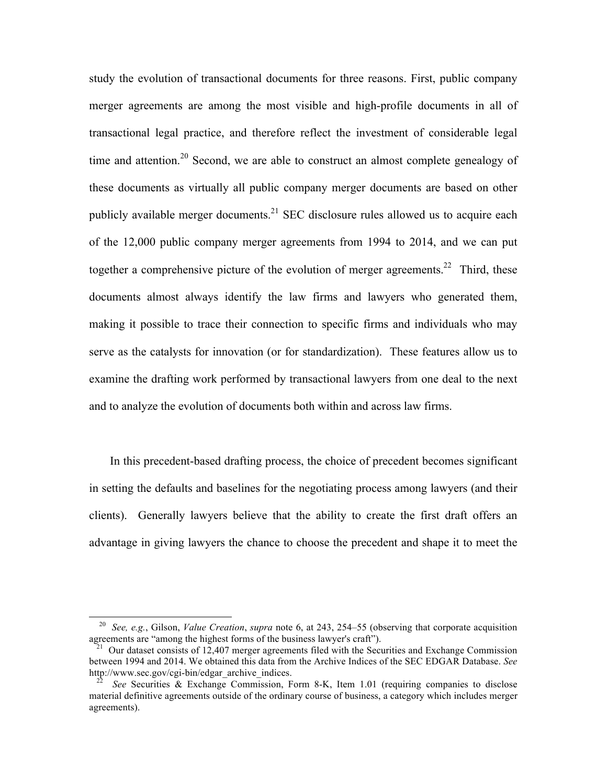study the evolution of transactional documents for three reasons. First, public company merger agreements are among the most visible and high-profile documents in all of transactional legal practice, and therefore reflect the investment of considerable legal time and attention.<sup>20</sup> Second, we are able to construct an almost complete genealogy of these documents as virtually all public company merger documents are based on other publicly available merger documents.<sup>21</sup> SEC disclosure rules allowed us to acquire each of the 12,000 public company merger agreements from 1994 to 2014, and we can put together a comprehensive picture of the evolution of merger agreements.<sup>22</sup> Third, these documents almost always identify the law firms and lawyers who generated them, making it possible to trace their connection to specific firms and individuals who may serve as the catalysts for innovation (or for standardization). These features allow us to examine the drafting work performed by transactional lawyers from one deal to the next and to analyze the evolution of documents both within and across law firms.

In this precedent-based drafting process, the choice of precedent becomes significant in setting the defaults and baselines for the negotiating process among lawyers (and their clients). Generally lawyers believe that the ability to create the first draft offers an advantage in giving lawyers the chance to choose the precedent and shape it to meet the

20 *See, e.g.*, Gilson, *Value Creation*, *supra* note 6, at 243, 254–55 (observing that corporate acquisition agreements are "among the highest forms of the business lawyer's craft").

<sup>&</sup>lt;sup>21</sup> Our dataset consists of 12,407 merger agreements filed with the Securities and Exchange Commission between 1994 and 2014. We obtained this data from the Archive Indices of the SEC EDGAR Database. *See* http://www.sec.gov/cgi-bin/edgar\_archive\_indices.

22 *See* Securities & Exchange Commission, Form 8-K, Item 1.01 (requiring companies to disclose material definitive agreements outside of the ordinary course of business, a category which includes merger agreements).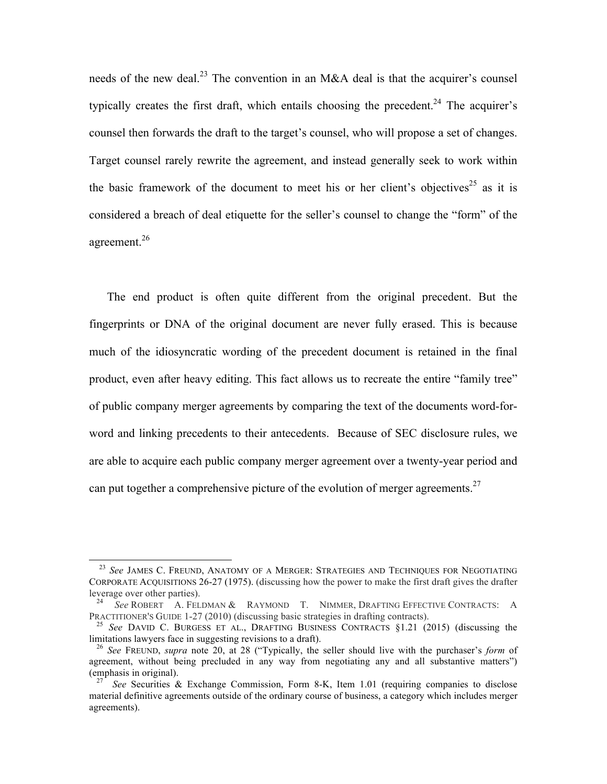needs of the new deal.<sup>23</sup> The convention in an M&A deal is that the acquirer's counsel typically creates the first draft, which entails choosing the precedent.<sup>24</sup> The acquirer's counsel then forwards the draft to the target's counsel, who will propose a set of changes. Target counsel rarely rewrite the agreement, and instead generally seek to work within the basic framework of the document to meet his or her client's objectives<sup>25</sup> as it is considered a breach of deal etiquette for the seller's counsel to change the "form" of the agreement.<sup>26</sup>

The end product is often quite different from the original precedent. But the fingerprints or DNA of the original document are never fully erased. This is because much of the idiosyncratic wording of the precedent document is retained in the final product, even after heavy editing. This fact allows us to recreate the entire "family tree" of public company merger agreements by comparing the text of the documents word-forword and linking precedents to their antecedents. Because of SEC disclosure rules, we are able to acquire each public company merger agreement over a twenty-year period and can put together a comprehensive picture of the evolution of merger agreements.<sup>27</sup>

<sup>&</sup>lt;sup>23</sup> See JAMES C. FREUND, ANATOMY OF A MERGER: STRATEGIES AND TECHNIQUES FOR NEGOTIATING CORPORATE ACQUISITIONS 26-27 (1975). (discussing how the power to make the first draft gives the drafter leverage over other parties).

<sup>24</sup> *See* ROBERT A. FELDMAN & RAYMOND T. NIMMER, DRAFTING EFFECTIVE CONTRACTS: A PRACTITIONER'S GUIDE 1-27 (2010) (discussing basic strategies in drafting contracts).

<sup>25</sup> *See* DAVID C. BURGESS ET AL., DRAFTING BUSINESS CONTRACTS §1.21 (2015) (discussing the limitations lawyers face in suggesting revisions to a draft).

<sup>26</sup> *See* FREUND, *supra* note 20, at 28 ("Typically, the seller should live with the purchaser's *form* of agreement, without being precluded in any way from negotiating any and all substantive matters") (emphasis in original).

<sup>&</sup>lt;sup>27</sup> See Securities & Exchange Commission, Form 8-K, Item 1.01 (requiring companies to disclose material definitive agreements outside of the ordinary course of business, a category which includes merger agreements).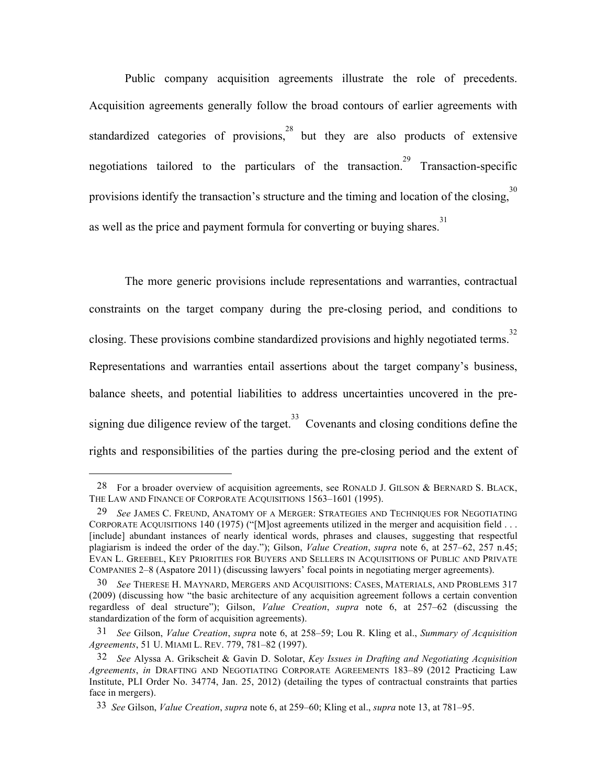Public company acquisition agreements illustrate the role of precedents. Acquisition agreements generally follow the broad contours of earlier agreements with standardized categories of provisions,  $28$  but they are also products of extensive negotiations tailored to the particulars of the transaction.<sup>29</sup> Transaction-specific provisions identify the transaction's structure and the timing and location of the closing,  $30$ as well as the price and payment formula for converting or buying shares.<sup>31</sup>

The more generic provisions include representations and warranties, contractual constraints on the target company during the pre-closing period, and conditions to closing. These provisions combine standardized provisions and highly negotiated terms. 32 Representations and warranties entail assertions about the target company's business, balance sheets, and potential liabilities to address uncertainties uncovered in the presigning due diligence review of the target.<sup>33</sup> Covenants and closing conditions define the rights and responsibilities of the parties during the pre-closing period and the extent of

<sup>28</sup> For a broader overview of acquisition agreements, see RONALD J. GILSON  $\&$  BERNARD S. BLACK, THE LAW AND FINANCE OF CORPORATE ACQUISITIONS 1563–1601 (1995).

<sup>29</sup> *See* JAMES C. FREUND, ANATOMY OF A MERGER: STRATEGIES AND TECHNIQUES FOR NEGOTIATING CORPORATE ACQUISITIONS 140 (1975) ("[M]ost agreements utilized in the merger and acquisition field . . . [include] abundant instances of nearly identical words, phrases and clauses, suggesting that respectful plagiarism is indeed the order of the day."); Gilson, *Value Creation*, *supra* note 6, at 257–62, 257 n.45; EVAN L. GREEBEL, KEY PRIORITIES FOR BUYERS AND SELLERS IN ACQUISITIONS OF PUBLIC AND PRIVATE COMPANIES 2–8 (Aspatore 2011) (discussing lawyers' focal points in negotiating merger agreements).

<sup>30</sup> *See* THERESE H. MAYNARD, MERGERS AND ACQUISITIONS: CASES, MATERIALS, AND PROBLEMS 317 (2009) (discussing how "the basic architecture of any acquisition agreement follows a certain convention regardless of deal structure"); Gilson, *Value Creation*, *supra* note 6, at 257–62 (discussing the standardization of the form of acquisition agreements).

<sup>31</sup> *See* Gilson, *Value Creation*, *supra* note 6, at 258–59; Lou R. Kling et al., *Summary of Acquisition Agreements*, 51 U. MIAMI L. REV. 779, 781–82 (1997).

<sup>32</sup> *See* Alyssa A. Grikscheit & Gavin D. Solotar, *Key Issues in Drafting and Negotiating Acquisition Agreements*, *in* DRAFTING AND NEGOTIATING CORPORATE AGREEMENTS 183–89 (2012 Practicing Law Institute, PLI Order No. 34774, Jan. 25, 2012) (detailing the types of contractual constraints that parties face in mergers).

33 *See* Gilson, *Value Creation*, *supra* note 6, at 259–60; Kling et al., *supra* note 13, at 781–95.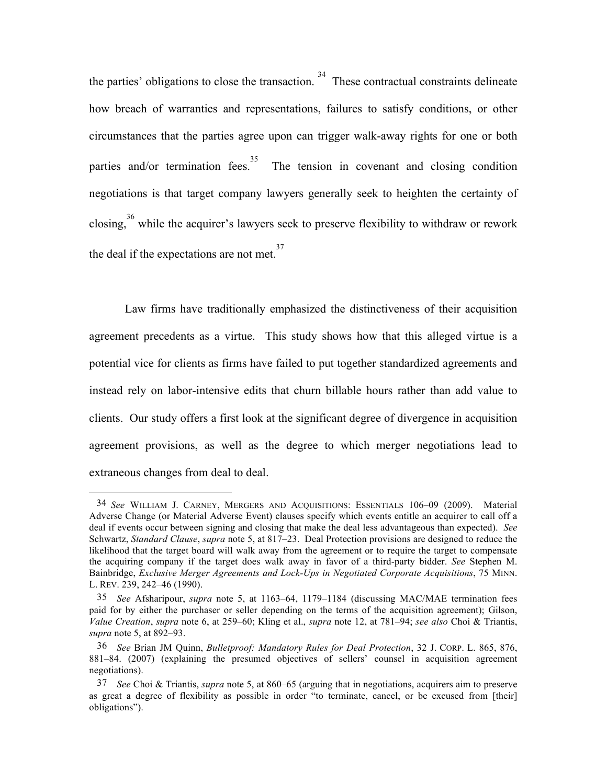the parties' obligations to close the transaction.<sup>34</sup> These contractual constraints delineate how breach of warranties and representations, failures to satisfy conditions, or other circumstances that the parties agree upon can trigger walk-away rights for one or both parties and/or termination fees.<sup>35</sup> The tension in covenant and closing condition negotiations is that target company lawyers generally seek to heighten the certainty of closing,  $36$  while the acquirer's lawyers seek to preserve flexibility to withdraw or rework the deal if the expectations are not met. $37$ 

Law firms have traditionally emphasized the distinctiveness of their acquisition agreement precedents as a virtue. This study shows how that this alleged virtue is a potential vice for clients as firms have failed to put together standardized agreements and instead rely on labor-intensive edits that churn billable hours rather than add value to clients. Our study offers a first look at the significant degree of divergence in acquisition agreement provisions, as well as the degree to which merger negotiations lead to extraneous changes from deal to deal.

34 *See* WILLIAM J. CARNEY, MERGERS AND ACQUISITIONS: ESSENTIALS 106–09 (2009). Material Adverse Change (or Material Adverse Event) clauses specify which events entitle an acquirer to call off a deal if events occur between signing and closing that make the deal less advantageous than expected). *See* Schwartz, *Standard Clause*, *supra* note 5, at 817–23. Deal Protection provisions are designed to reduce the likelihood that the target board will walk away from the agreement or to require the target to compensate the acquiring company if the target does walk away in favor of a third-party bidder. *See* Stephen M. Bainbridge, *Exclusive Merger Agreements and Lock-Ups in Negotiated Corporate Acquisitions*, 75 MINN. L. REV. 239, 242–46 (1990).

<sup>35</sup> *See* Afsharipour, *supra* note 5, at 1163–64, 1179–1184 (discussing MAC/MAE termination fees paid for by either the purchaser or seller depending on the terms of the acquisition agreement); Gilson, *Value Creation*, *supra* note 6, at 259–60; Kling et al., *supra* note 12, at 781–94; *see also* Choi & Triantis, *supra* note 5, at 892–93.

<sup>36</sup> *See* Brian JM Quinn, *Bulletproof: Mandatory Rules for Deal Protection*, 32 J. CORP. L. 865, 876, 881–84. (2007) (explaining the presumed objectives of sellers' counsel in acquisition agreement negotiations).

<sup>37</sup> *See* Choi & Triantis, *supra* note 5, at 860–65 (arguing that in negotiations, acquirers aim to preserve as great a degree of flexibility as possible in order "to terminate, cancel, or be excused from [their] obligations").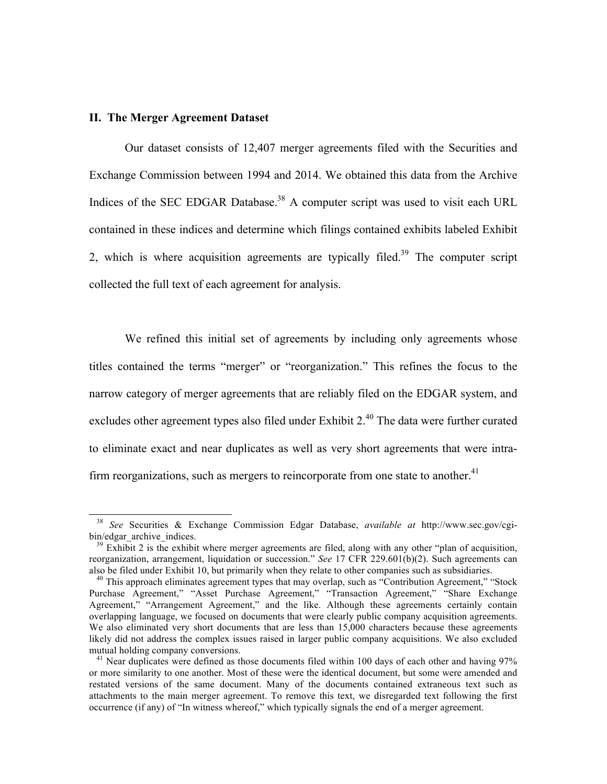#### **II. The Merger Agreement Dataset**

 $\overline{a}$ 

Our dataset consists of 12,407 merger agreements filed with the Securities and Exchange Commission between 1994 and 2014. We obtained this data from the Archive Indices of the SEC EDGAR Database.<sup>38</sup> A computer script was used to visit each URL contained in these indices and determine which filings contained exhibits labeled Exhibit 2, which is where acquisition agreements are typically filed.<sup>39</sup> The computer script collected the full text of each agreement for analysis.

We refined this initial set of agreements by including only agreements whose titles contained the terms "merger" or "reorganization." This refines the focus to the narrow category of merger agreements that are reliably filed on the EDGAR system, and excludes other agreement types also filed under Exhibit 2.<sup>40</sup> The data were further curated to eliminate exact and near duplicates as well as very short agreements that were intrafirm reorganizations, such as mergers to reincorporate from one state to another.<sup>41</sup>

<sup>38</sup> *See* Securities & Exchange Commission Edgar Database, *available at* http://www.sec.gov/cgibin/edgar\_archive\_indices.

 $39$  Exhibit 2 is the exhibit where merger agreements are filed, along with any other "plan of acquisition, reorganization, arrangement, liquidation or succession." *See* 17 CFR 229.601(b)(2). Such agreements can also be filed under Exhibit 10, but primarily when they relate to other companies such as subsidiaries.

 $40$  This approach eliminates agreement types that may overlap, such as "Contribution Agreement," "Stock Purchase Agreement," "Asset Purchase Agreement," "Transaction Agreement," "Share Exchange Agreement," "Arrangement Agreement," and the like. Although these agreements certainly contain overlapping language, we focused on documents that were clearly public company acquisition agreements. We also eliminated very short documents that are less than 15,000 characters because these agreements likely did not address the complex issues raised in larger public company acquisitions. We also excluded mutual holding company conversions.

<sup>&</sup>lt;sup>41</sup> Near duplicates were defined as those documents filed within 100 days of each other and having 97% or more similarity to one another. Most of these were the identical document, but some were amended and restated versions of the same document. Many of the documents contained extraneous text such as attachments to the main merger agreement. To remove this text, we disregarded text following the first occurrence (if any) of "In witness whereof," which typically signals the end of a merger agreement.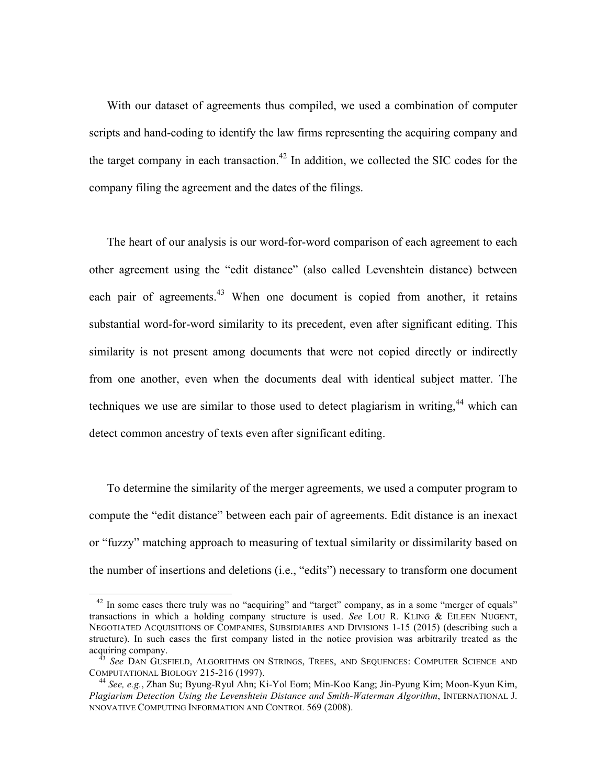With our dataset of agreements thus compiled, we used a combination of computer scripts and hand-coding to identify the law firms representing the acquiring company and the target company in each transaction.<sup>42</sup> In addition, we collected the SIC codes for the company filing the agreement and the dates of the filings.

The heart of our analysis is our word-for-word comparison of each agreement to each other agreement using the "edit distance" (also called Levenshtein distance) between each pair of agreements.<sup>43</sup> When one document is copied from another, it retains substantial word-for-word similarity to its precedent, even after significant editing. This similarity is not present among documents that were not copied directly or indirectly from one another, even when the documents deal with identical subject matter. The techniques we use are similar to those used to detect plagiarism in writing,<sup>44</sup> which can detect common ancestry of texts even after significant editing.

To determine the similarity of the merger agreements, we used a computer program to compute the "edit distance" between each pair of agreements. Edit distance is an inexact or "fuzzy" matching approach to measuring of textual similarity or dissimilarity based on the number of insertions and deletions (i.e., "edits") necessary to transform one document

 $\overline{\phantom{a}}$ 

<sup>&</sup>lt;sup>42</sup> In some cases there truly was no "acquiring" and "target" company, as in a some "merger of equals" transactions in which a holding company structure is used. *See* LOU R. KLING & EILEEN NUGENT, NEGOTIATED ACQUISITIONS OF COMPANIES, SUBSIDIARIES AND DIVISIONS 1-15 (2015) (describing such a structure). In such cases the first company listed in the notice provision was arbitrarily treated as the acquiring company.

<sup>43</sup> *See* DAN GUSFIELD, ALGORITHMS ON STRINGS, TREES, AND SEQUENCES: COMPUTER SCIENCE AND COMPUTATIONAL BIOLOGY 215-216 (1997).

<sup>44</sup> *See, e.g.*, Zhan Su; Byung-Ryul Ahn; Ki-Yol Eom; Min-Koo Kang; Jin-Pyung Kim; Moon-Kyun Kim, *Plagiarism Detection Using the Levenshtein Distance and Smith-Waterman Algorithm*, INTERNATIONAL J. NNOVATIVE COMPUTING INFORMATION AND CONTROL 569 (2008).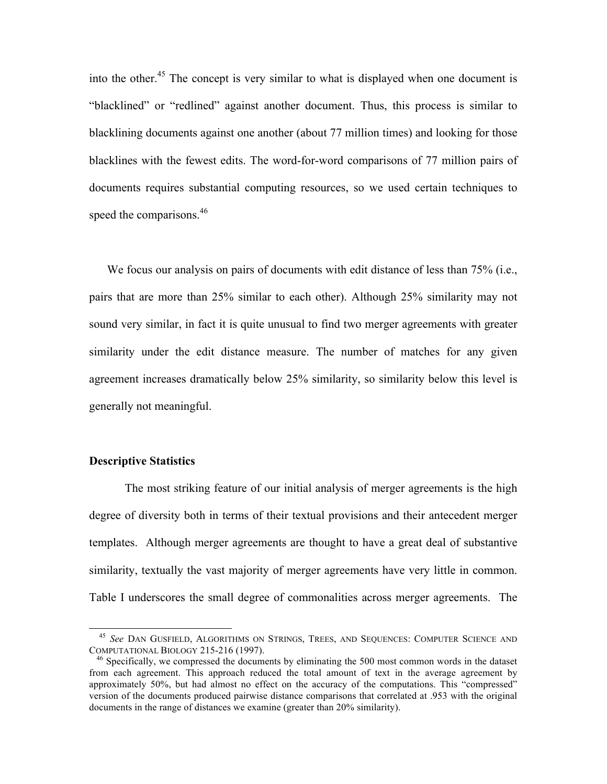into the other.<sup>45</sup> The concept is very similar to what is displayed when one document is "blacklined" or "redlined" against another document. Thus, this process is similar to blacklining documents against one another (about 77 million times) and looking for those blacklines with the fewest edits. The word-for-word comparisons of 77 million pairs of documents requires substantial computing resources, so we used certain techniques to speed the comparisons.<sup>46</sup>

We focus our analysis on pairs of documents with edit distance of less than 75% (i.e., pairs that are more than 25% similar to each other). Although 25% similarity may not sound very similar, in fact it is quite unusual to find two merger agreements with greater similarity under the edit distance measure. The number of matches for any given agreement increases dramatically below 25% similarity, so similarity below this level is generally not meaningful.

#### **Descriptive Statistics**

 $\overline{a}$ 

The most striking feature of our initial analysis of merger agreements is the high degree of diversity both in terms of their textual provisions and their antecedent merger templates. Although merger agreements are thought to have a great deal of substantive similarity, textually the vast majority of merger agreements have very little in common. Table I underscores the small degree of commonalities across merger agreements. The

<sup>45</sup> *See* DAN GUSFIELD, ALGORITHMS ON STRINGS, TREES, AND SEQUENCES: COMPUTER SCIENCE AND COMPUTATIONAL BIOLOGY 215-216 (1997).

<sup>&</sup>lt;sup>46</sup> Specifically, we compressed the documents by eliminating the 500 most common words in the dataset from each agreement. This approach reduced the total amount of text in the average agreement by approximately 50%, but had almost no effect on the accuracy of the computations. This "compressed" version of the documents produced pairwise distance comparisons that correlated at .953 with the original documents in the range of distances we examine (greater than 20% similarity).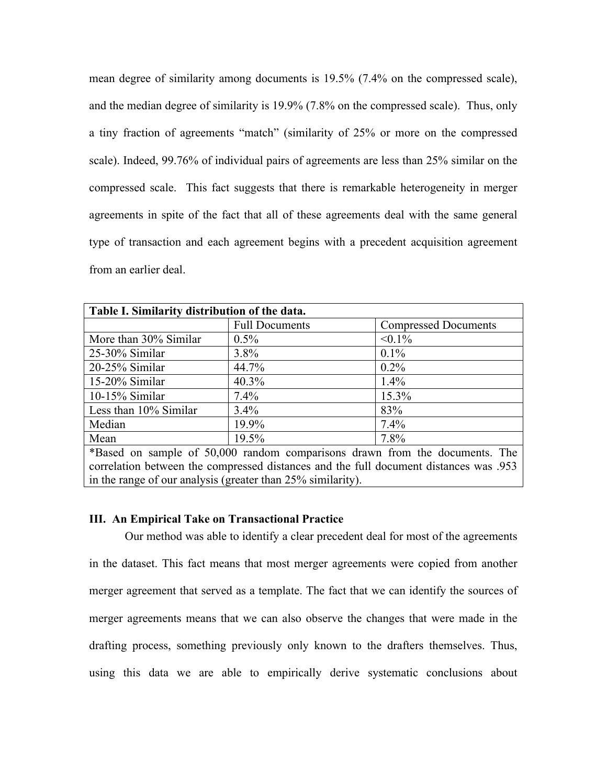mean degree of similarity among documents is 19.5% (7.4% on the compressed scale), and the median degree of similarity is 19.9% (7.8% on the compressed scale). Thus, only a tiny fraction of agreements "match" (similarity of 25% or more on the compressed scale). Indeed, 99.76% of individual pairs of agreements are less than 25% similar on the compressed scale. This fact suggests that there is remarkable heterogeneity in merger agreements in spite of the fact that all of these agreements deal with the same general type of transaction and each agreement begins with a precedent acquisition agreement from an earlier deal.

| Table I. Similarity distribution of the data.                                         |                       |                             |  |  |  |
|---------------------------------------------------------------------------------------|-----------------------|-----------------------------|--|--|--|
|                                                                                       | <b>Full Documents</b> | <b>Compressed Documents</b> |  |  |  |
| More than 30% Similar                                                                 | $0.5\%$               | $< 0.1\%$                   |  |  |  |
| $25-30\%$ Similar                                                                     | $3.8\%$               | $0.1\%$                     |  |  |  |
| 20-25% Similar                                                                        | 44.7%                 | $0.2\%$                     |  |  |  |
| 15-20% Similar                                                                        | 40.3%                 | $1.4\%$                     |  |  |  |
| 10-15% Similar                                                                        | $7.4\%$               | 15.3%                       |  |  |  |
| Less than $10\%$ Similar                                                              | $3.4\%$               | 83%                         |  |  |  |
| Median                                                                                | 19.9%                 | 7.4%                        |  |  |  |
| Mean                                                                                  | 19.5%                 | 7.8%                        |  |  |  |
| *Based on sample of 50,000 random comparisons drawn from the documents. The           |                       |                             |  |  |  |
| correlation between the compressed distances and the full document distances was .953 |                       |                             |  |  |  |
| in the range of our analysis (greater than 25% similarity).                           |                       |                             |  |  |  |

### **III. An Empirical Take on Transactional Practice**

Our method was able to identify a clear precedent deal for most of the agreements in the dataset. This fact means that most merger agreements were copied from another merger agreement that served as a template. The fact that we can identify the sources of merger agreements means that we can also observe the changes that were made in the drafting process, something previously only known to the drafters themselves. Thus, using this data we are able to empirically derive systematic conclusions about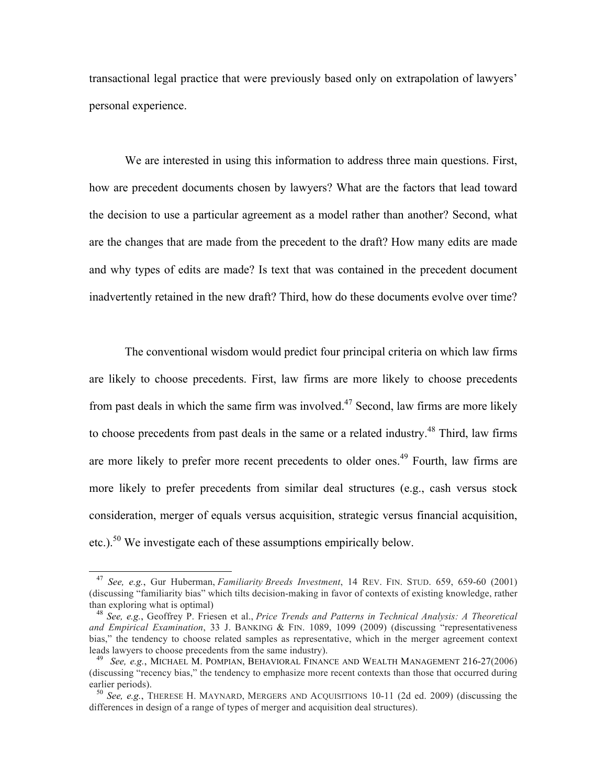transactional legal practice that were previously based only on extrapolation of lawyers' personal experience.

We are interested in using this information to address three main questions. First, how are precedent documents chosen by lawyers? What are the factors that lead toward the decision to use a particular agreement as a model rather than another? Second, what are the changes that are made from the precedent to the draft? How many edits are made and why types of edits are made? Is text that was contained in the precedent document inadvertently retained in the new draft? Third, how do these documents evolve over time?

The conventional wisdom would predict four principal criteria on which law firms are likely to choose precedents. First, law firms are more likely to choose precedents from past deals in which the same firm was involved.<sup> $47$ </sup> Second, law firms are more likely to choose precedents from past deals in the same or a related industry.<sup>48</sup> Third, law firms are more likely to prefer more recent precedents to older ones.<sup>49</sup> Fourth, law firms are more likely to prefer precedents from similar deal structures (e.g., cash versus stock consideration, merger of equals versus acquisition, strategic versus financial acquisition, etc.).<sup>50</sup> We investigate each of these assumptions empirically below.

<sup>47</sup> *See, e.g.*, Gur Huberman, *Familiarity Breeds Investment*, 14 REV. FIN. STUD. 659, 659-60 (2001) (discussing "familiarity bias" which tilts decision-making in favor of contexts of existing knowledge, rather than exploring what is optimal)

<sup>48</sup> *See, e.g.*, Geoffrey P. Friesen et al., *Price Trends and Patterns in Technical Analysis: A Theoretical and Empirical Examination*, 33 J. BANKING & FIN. 1089, 1099 (2009) (discussing "representativeness bias," the tendency to choose related samples as representative, which in the merger agreement context leads lawyers to choose precedents from the same industry).

<sup>49</sup> *See, e.g.*, MICHAEL M. POMPIAN, BEHAVIORAL FINANCE AND WEALTH MANAGEMENT 216-27(2006) (discussing "recency bias," the tendency to emphasize more recent contexts than those that occurred during earlier periods).

<sup>50</sup> *See, e.g.*, THERESE H. MAYNARD, MERGERS AND ACQUISITIONS 10-11 (2d ed. 2009) (discussing the differences in design of a range of types of merger and acquisition deal structures).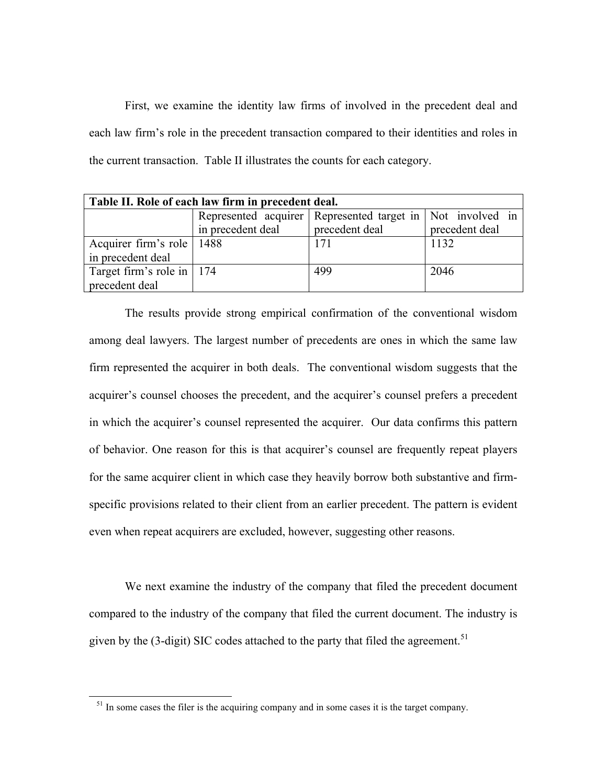First, we examine the identity law firms of involved in the precedent deal and each law firm's role in the precedent transaction compared to their identities and roles in the current transaction. Table II illustrates the counts for each category.

| Table II. Role of each law firm in precedent deal. |                   |                                                            |                |  |  |  |  |
|----------------------------------------------------|-------------------|------------------------------------------------------------|----------------|--|--|--|--|
|                                                    |                   | Represented acquirer Represented target in Not involved in |                |  |  |  |  |
|                                                    | in precedent deal | precedent deal                                             | precedent deal |  |  |  |  |
| Acquirer firm's role   1488                        |                   | 171                                                        | 1132           |  |  |  |  |
| in precedent deal                                  |                   |                                                            |                |  |  |  |  |
| Target firm's role in   174                        |                   | 499                                                        | 2046           |  |  |  |  |
| precedent deal                                     |                   |                                                            |                |  |  |  |  |

The results provide strong empirical confirmation of the conventional wisdom among deal lawyers. The largest number of precedents are ones in which the same law firm represented the acquirer in both deals. The conventional wisdom suggests that the acquirer's counsel chooses the precedent, and the acquirer's counsel prefers a precedent in which the acquirer's counsel represented the acquirer. Our data confirms this pattern of behavior. One reason for this is that acquirer's counsel are frequently repeat players for the same acquirer client in which case they heavily borrow both substantive and firmspecific provisions related to their client from an earlier precedent. The pattern is evident even when repeat acquirers are excluded, however, suggesting other reasons.

We next examine the industry of the company that filed the precedent document compared to the industry of the company that filed the current document. The industry is given by the  $(3$ -digit) SIC codes attached to the party that filed the agreement.<sup>51</sup>

 $<sup>51</sup>$  In some cases the filer is the acquiring company and in some cases it is the target company.</sup>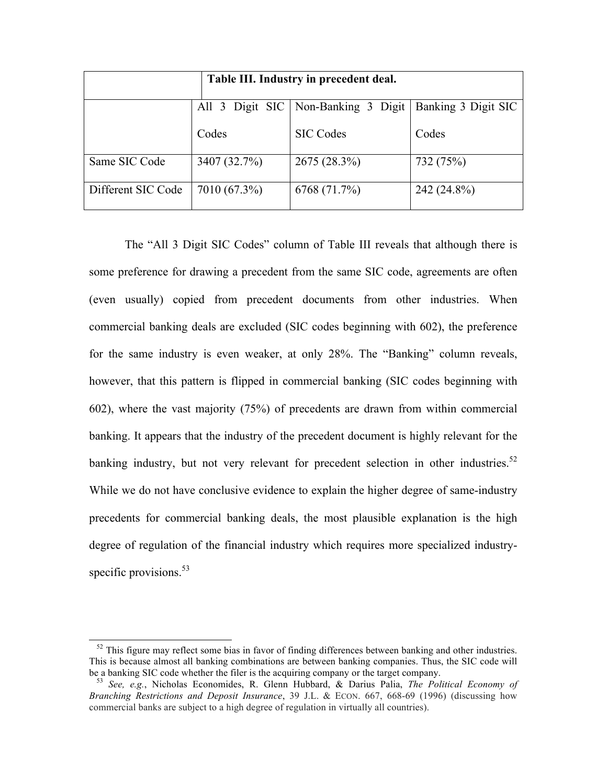| Table III. Industry in precedent deal. |              |                                       |                     |  |  |
|----------------------------------------|--------------|---------------------------------------|---------------------|--|--|
|                                        |              | All 3 Digit SIC   Non-Banking 3 Digit | Banking 3 Digit SIC |  |  |
|                                        | Codes        | <b>SIC Codes</b>                      | Codes               |  |  |
| Same SIC Code                          | 3407 (32.7%) | 2675 (28.3%)                          | 732 (75%)           |  |  |
| Different SIC Code                     | 7010 (67.3%) | 6768 (71.7%)                          | 242 (24.8%)         |  |  |

The "All 3 Digit SIC Codes" column of Table III reveals that although there is some preference for drawing a precedent from the same SIC code, agreements are often (even usually) copied from precedent documents from other industries. When commercial banking deals are excluded (SIC codes beginning with 602), the preference for the same industry is even weaker, at only 28%. The "Banking" column reveals, however, that this pattern is flipped in commercial banking (SIC codes beginning with 602), where the vast majority (75%) of precedents are drawn from within commercial banking. It appears that the industry of the precedent document is highly relevant for the banking industry, but not very relevant for precedent selection in other industries.<sup>52</sup> While we do not have conclusive evidence to explain the higher degree of same-industry precedents for commercial banking deals, the most plausible explanation is the high degree of regulation of the financial industry which requires more specialized industryspecific provisions.<sup>53</sup>

 $\overline{\phantom{a}}$ 

 $52$  This figure may reflect some bias in favor of finding differences between banking and other industries. This is because almost all banking combinations are between banking companies. Thus, the SIC code will be a banking SIC code whether the filer is the acquiring company or the target company.

<sup>53</sup> *See, e.g.*, Nicholas Economides, R. Glenn Hubbard, & Darius Palia, *The Political Economy of Branching Restrictions and Deposit Insurance*, 39 J.L. & ECON. 667, 668-69 (1996) (discussing how commercial banks are subject to a high degree of regulation in virtually all countries).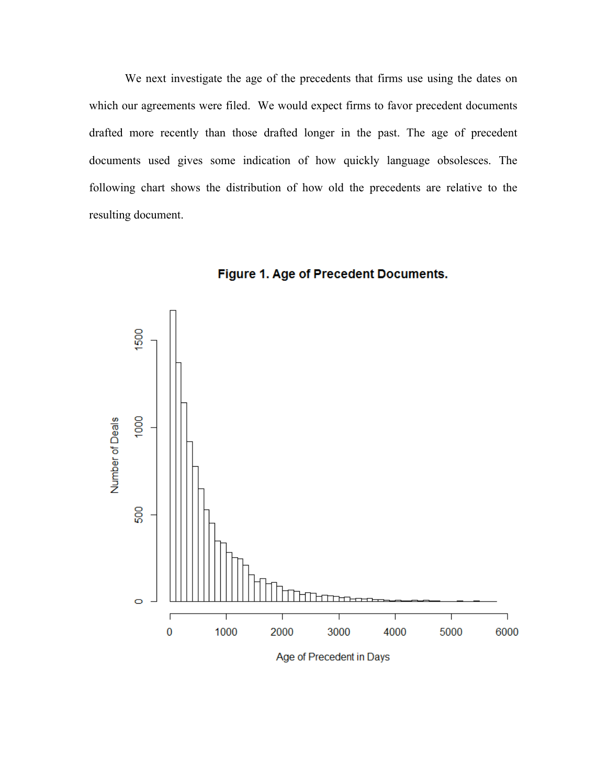We next investigate the age of the precedents that firms use using the dates on which our agreements were filed. We would expect firms to favor precedent documents drafted more recently than those drafted longer in the past. The age of precedent documents used gives some indication of how quickly language obsolesces. The following chart shows the distribution of how old the precedents are relative to the resulting document.





Age of Precedent in Days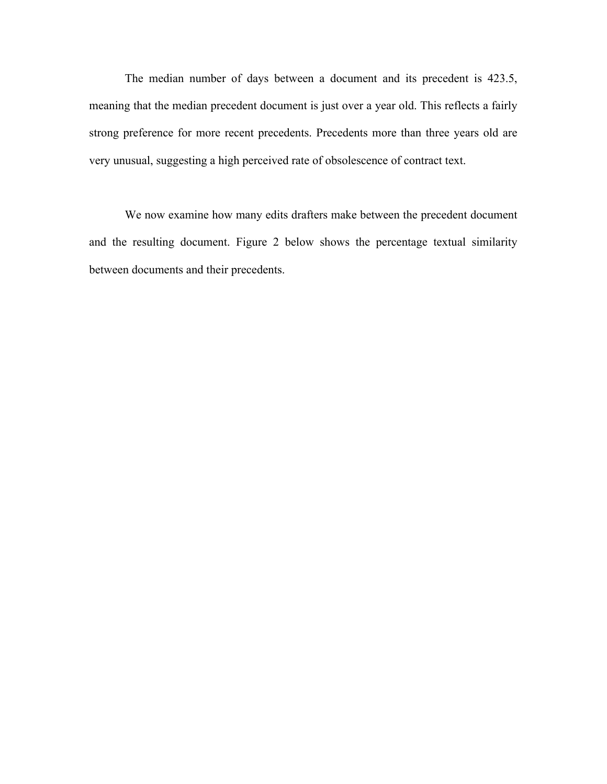The median number of days between a document and its precedent is 423.5, meaning that the median precedent document is just over a year old. This reflects a fairly strong preference for more recent precedents. Precedents more than three years old are very unusual, suggesting a high perceived rate of obsolescence of contract text.

We now examine how many edits drafters make between the precedent document and the resulting document. Figure 2 below shows the percentage textual similarity between documents and their precedents.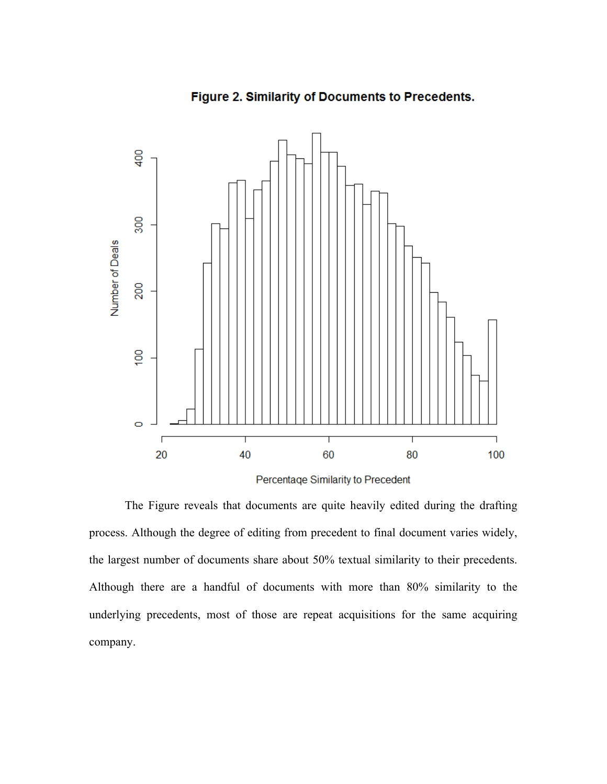

Figure 2. Similarity of Documents to Precedents.

Percentage Similarity to Precedent

The Figure reveals that documents are quite heavily edited during the drafting process. Although the degree of editing from precedent to final document varies widely, the largest number of documents share about 50% textual similarity to their precedents. Although there are a handful of documents with more than 80% similarity to the underlying precedents, most of those are repeat acquisitions for the same acquiring company.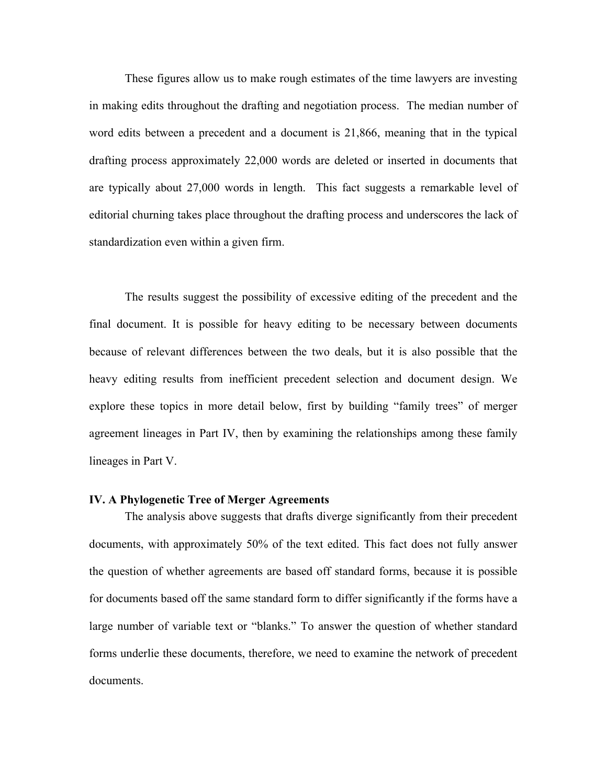These figures allow us to make rough estimates of the time lawyers are investing in making edits throughout the drafting and negotiation process. The median number of word edits between a precedent and a document is 21,866, meaning that in the typical drafting process approximately 22,000 words are deleted or inserted in documents that are typically about 27,000 words in length. This fact suggests a remarkable level of editorial churning takes place throughout the drafting process and underscores the lack of standardization even within a given firm.

The results suggest the possibility of excessive editing of the precedent and the final document. It is possible for heavy editing to be necessary between documents because of relevant differences between the two deals, but it is also possible that the heavy editing results from inefficient precedent selection and document design. We explore these topics in more detail below, first by building "family trees" of merger agreement lineages in Part IV, then by examining the relationships among these family lineages in Part V.

#### **IV. A Phylogenetic Tree of Merger Agreements**

The analysis above suggests that drafts diverge significantly from their precedent documents, with approximately 50% of the text edited. This fact does not fully answer the question of whether agreements are based off standard forms, because it is possible for documents based off the same standard form to differ significantly if the forms have a large number of variable text or "blanks." To answer the question of whether standard forms underlie these documents, therefore, we need to examine the network of precedent documents.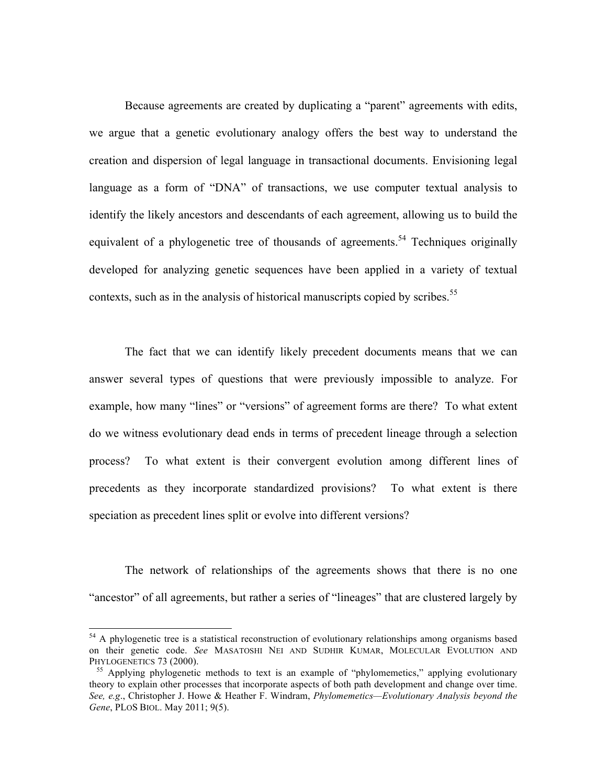Because agreements are created by duplicating a "parent" agreements with edits, we argue that a genetic evolutionary analogy offers the best way to understand the creation and dispersion of legal language in transactional documents. Envisioning legal language as a form of "DNA" of transactions, we use computer textual analysis to identify the likely ancestors and descendants of each agreement, allowing us to build the equivalent of a phylogenetic tree of thousands of agreements.<sup>54</sup> Techniques originally developed for analyzing genetic sequences have been applied in a variety of textual contexts, such as in the analysis of historical manuscripts copied by scribes.<sup>55</sup>

The fact that we can identify likely precedent documents means that we can answer several types of questions that were previously impossible to analyze. For example, how many "lines" or "versions" of agreement forms are there? To what extent do we witness evolutionary dead ends in terms of precedent lineage through a selection process? To what extent is their convergent evolution among different lines of precedents as they incorporate standardized provisions? To what extent is there speciation as precedent lines split or evolve into different versions?

The network of relationships of the agreements shows that there is no one "ancestor" of all agreements, but rather a series of "lineages" that are clustered largely by

<sup>&</sup>lt;sup>54</sup> A phylogenetic tree is a statistical reconstruction of evolutionary relationships among organisms based on their genetic code. *See* MASATOSHI NEI AND SUDHIR KUMAR, MOLECULAR EVOLUTION AND PHYLOGENETICS 73 (2000).

<sup>&</sup>lt;sup>55</sup> Applying phylogenetic methods to text is an example of "phylomemetics," applying evolutionary theory to explain other processes that incorporate aspects of both path development and change over time. *See, e.g*., Christopher J. Howe & Heather F. Windram, *Phylomemetics—Evolutionary Analysis beyond the Gene*, PLOS BIOL. May 2011; 9(5).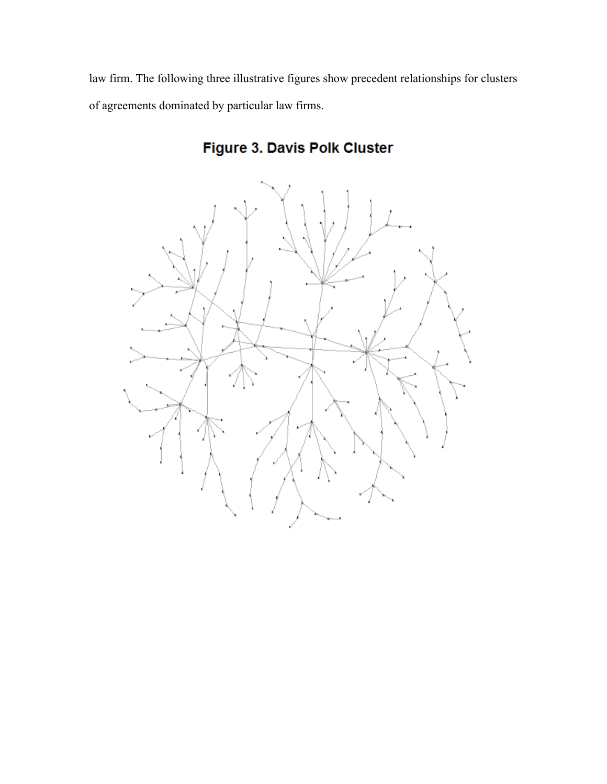law firm. The following three illustrative figures show precedent relationships for clusters of agreements dominated by particular law firms.



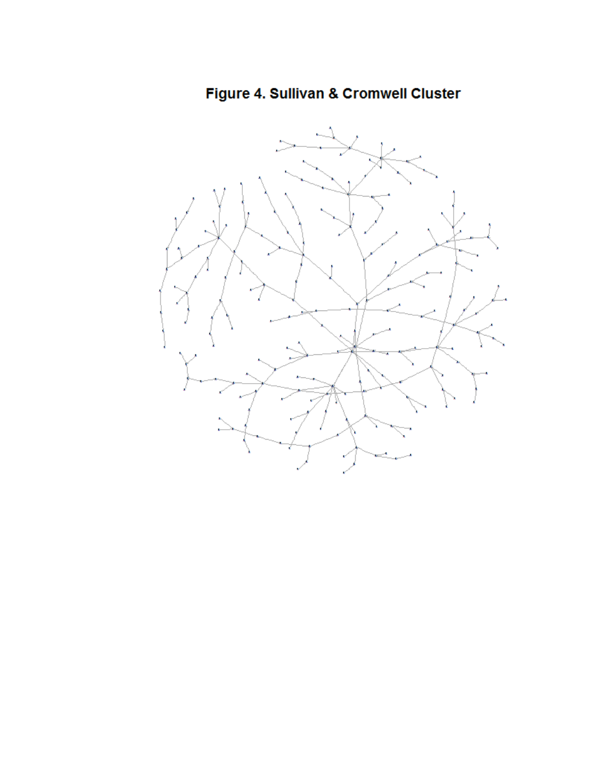Figure 4. Sullivan & Cromwell Cluster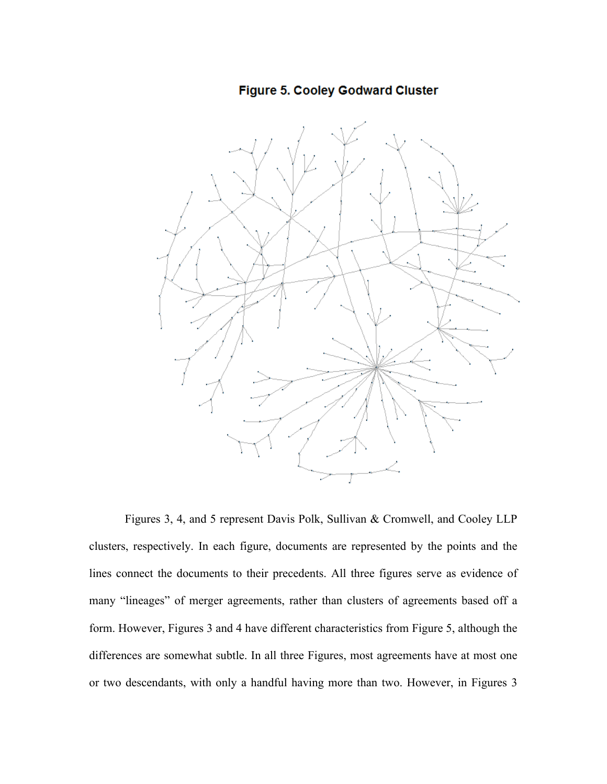Figure 5. Cooley Godward Cluster



Figures 3, 4, and 5 represent Davis Polk, Sullivan & Cromwell, and Cooley LLP clusters, respectively. In each figure, documents are represented by the points and the lines connect the documents to their precedents. All three figures serve as evidence of many "lineages" of merger agreements, rather than clusters of agreements based off a form. However, Figures 3 and 4 have different characteristics from Figure 5, although the differences are somewhat subtle. In all three Figures, most agreements have at most one or two descendants, with only a handful having more than two. However, in Figures 3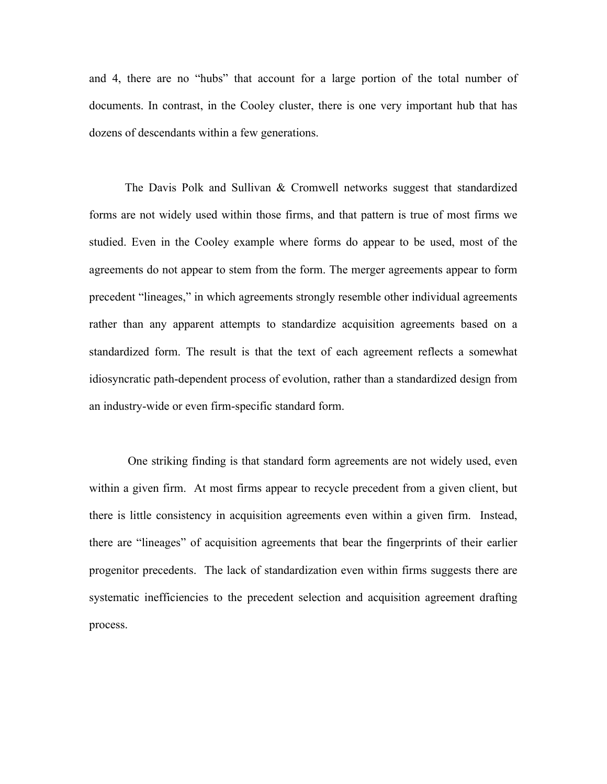and 4, there are no "hubs" that account for a large portion of the total number of documents. In contrast, in the Cooley cluster, there is one very important hub that has dozens of descendants within a few generations.

The Davis Polk and Sullivan & Cromwell networks suggest that standardized forms are not widely used within those firms, and that pattern is true of most firms we studied. Even in the Cooley example where forms do appear to be used, most of the agreements do not appear to stem from the form. The merger agreements appear to form precedent "lineages," in which agreements strongly resemble other individual agreements rather than any apparent attempts to standardize acquisition agreements based on a standardized form. The result is that the text of each agreement reflects a somewhat idiosyncratic path-dependent process of evolution, rather than a standardized design from an industry-wide or even firm-specific standard form.

 One striking finding is that standard form agreements are not widely used, even within a given firm. At most firms appear to recycle precedent from a given client, but there is little consistency in acquisition agreements even within a given firm. Instead, there are "lineages" of acquisition agreements that bear the fingerprints of their earlier progenitor precedents. The lack of standardization even within firms suggests there are systematic inefficiencies to the precedent selection and acquisition agreement drafting process.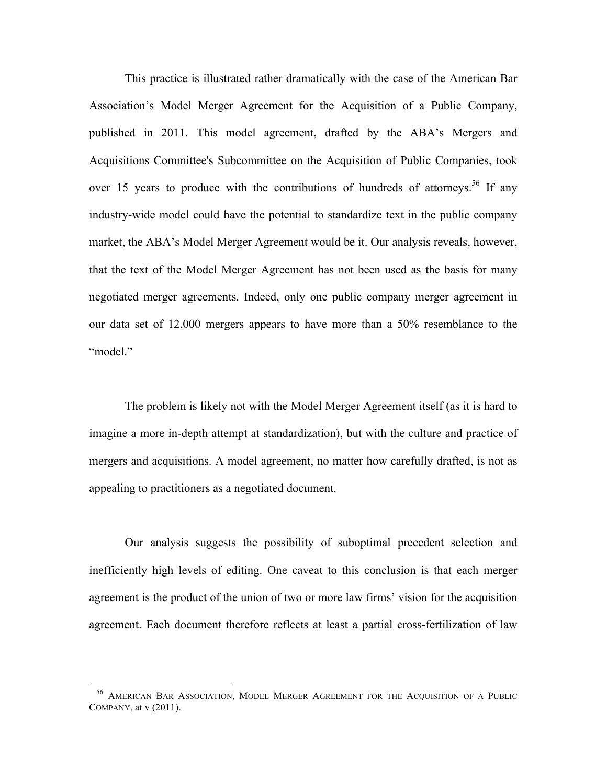This practice is illustrated rather dramatically with the case of the American Bar Association's Model Merger Agreement for the Acquisition of a Public Company, published in 2011. This model agreement, drafted by the ABA's Mergers and Acquisitions Committee's Subcommittee on the Acquisition of Public Companies, took over 15 years to produce with the contributions of hundreds of attorneys.<sup>56</sup> If any industry-wide model could have the potential to standardize text in the public company market, the ABA's Model Merger Agreement would be it. Our analysis reveals, however, that the text of the Model Merger Agreement has not been used as the basis for many negotiated merger agreements. Indeed, only one public company merger agreement in our data set of 12,000 mergers appears to have more than a 50% resemblance to the "model."

The problem is likely not with the Model Merger Agreement itself (as it is hard to imagine a more in-depth attempt at standardization), but with the culture and practice of mergers and acquisitions. A model agreement, no matter how carefully drafted, is not as appealing to practitioners as a negotiated document.

Our analysis suggests the possibility of suboptimal precedent selection and inefficiently high levels of editing. One caveat to this conclusion is that each merger agreement is the product of the union of two or more law firms' vision for the acquisition agreement. Each document therefore reflects at least a partial cross-fertilization of law

<sup>56</sup> AMERICAN BAR ASSOCIATION, MODEL MERGER AGREEMENT FOR THE ACQUISITION OF A PUBLIC COMPANY, at v (2011).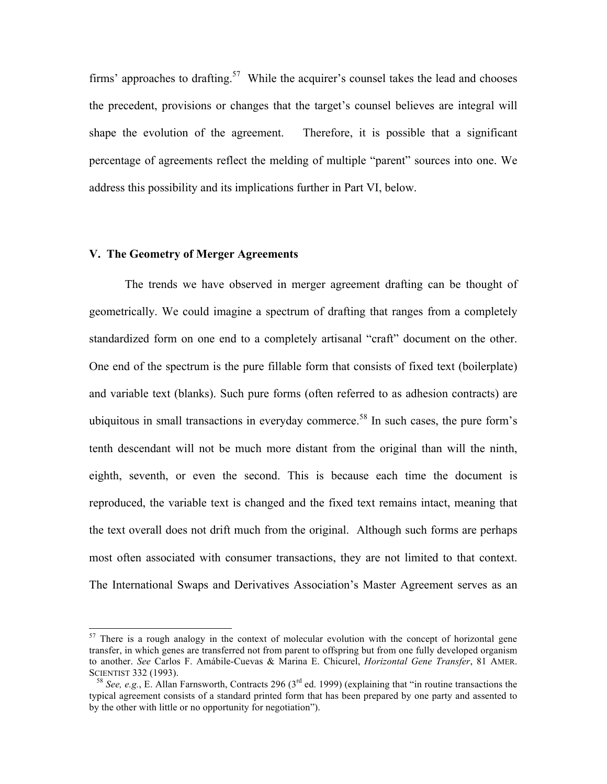firms' approaches to drafting.<sup>57</sup> While the acquirer's counsel takes the lead and chooses the precedent, provisions or changes that the target's counsel believes are integral will shape the evolution of the agreement. Therefore, it is possible that a significant percentage of agreements reflect the melding of multiple "parent" sources into one. We address this possibility and its implications further in Part VI, below.

#### **V. The Geometry of Merger Agreements**

The trends we have observed in merger agreement drafting can be thought of geometrically. We could imagine a spectrum of drafting that ranges from a completely standardized form on one end to a completely artisanal "craft" document on the other. One end of the spectrum is the pure fillable form that consists of fixed text (boilerplate) and variable text (blanks). Such pure forms (often referred to as adhesion contracts) are ubiquitous in small transactions in everyday commerce.<sup>58</sup> In such cases, the pure form's tenth descendant will not be much more distant from the original than will the ninth, eighth, seventh, or even the second. This is because each time the document is reproduced, the variable text is changed and the fixed text remains intact, meaning that the text overall does not drift much from the original. Although such forms are perhaps most often associated with consumer transactions, they are not limited to that context. The International Swaps and Derivatives Association's Master Agreement serves as an

<sup>&</sup>lt;sup>57</sup> There is a rough analogy in the context of molecular evolution with the concept of horizontal gene transfer, in which genes are transferred not from parent to offspring but from one fully developed organism to another. *See* Carlos F. Amábile-Cuevas & Marina E. Chicurel, *Horizontal Gene Transfer*, 81 AMER. SCIENTIST 332 (1993).

<sup>&</sup>lt;sup>58</sup> *See, e.g.*, E. Allan Farnsworth, Contracts 296 ( $3<sup>rd</sup>$  ed. 1999) (explaining that "in routine transactions the typical agreement consists of a standard printed form that has been prepared by one party and assented to by the other with little or no opportunity for negotiation").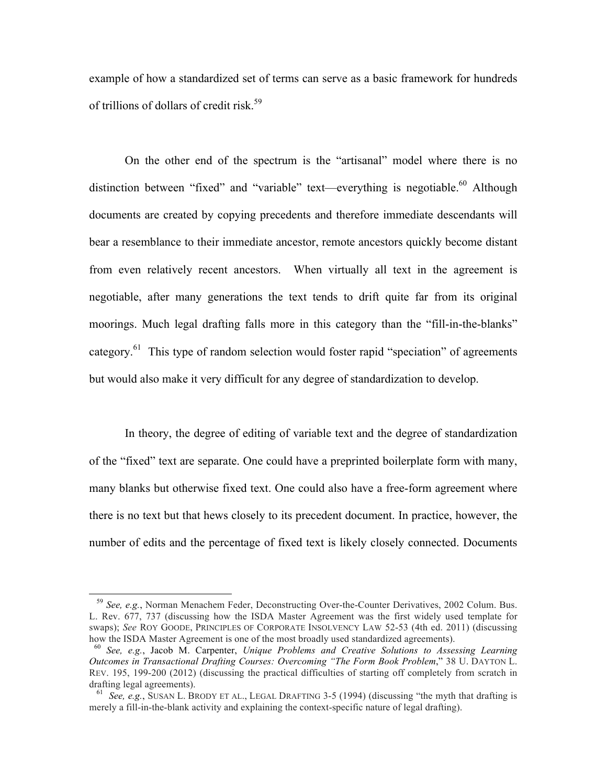example of how a standardized set of terms can serve as a basic framework for hundreds of trillions of dollars of credit risk.<sup>59</sup>

On the other end of the spectrum is the "artisanal" model where there is no distinction between "fixed" and "variable" text—everything is negotiable.<sup>60</sup> Although documents are created by copying precedents and therefore immediate descendants will bear a resemblance to their immediate ancestor, remote ancestors quickly become distant from even relatively recent ancestors. When virtually all text in the agreement is negotiable, after many generations the text tends to drift quite far from its original moorings. Much legal drafting falls more in this category than the "fill-in-the-blanks" category.<sup>61</sup> This type of random selection would foster rapid "speciation" of agreements but would also make it very difficult for any degree of standardization to develop.

In theory, the degree of editing of variable text and the degree of standardization of the "fixed" text are separate. One could have a preprinted boilerplate form with many, many blanks but otherwise fixed text. One could also have a free-form agreement where there is no text but that hews closely to its precedent document. In practice, however, the number of edits and the percentage of fixed text is likely closely connected. Documents

 $\overline{\phantom{a}}$ 

<sup>59</sup> *See, e.g.*, Norman Menachem Feder, Deconstructing Over-the-Counter Derivatives, 2002 Colum. Bus. L. Rev. 677, 737 (discussing how the ISDA Master Agreement was the first widely used template for swaps); *See* ROY GOODE, PRINCIPLES OF CORPORATE INSOLVENCY LAW 52-53 (4th ed. 2011) (discussing how the ISDA Master Agreement is one of the most broadly used standardized agreements).

<sup>60</sup> *See, e.g.*, Jacob M. Carpenter, *Unique Problems and Creative Solutions to Assessing Learning Outcomes in Transactional Drafting Courses: Overcoming "The Form Book Problem*," 38 U. DAYTON L. REV. 195, 199-200 (2012) (discussing the practical difficulties of starting off completely from scratch in drafting legal agreements).

61 *See, e.g.*, SUSAN L. BRODY ET AL., LEGAL DRAFTING 3-5 (1994) (discussing "the myth that drafting is merely a fill-in-the-blank activity and explaining the context-specific nature of legal drafting).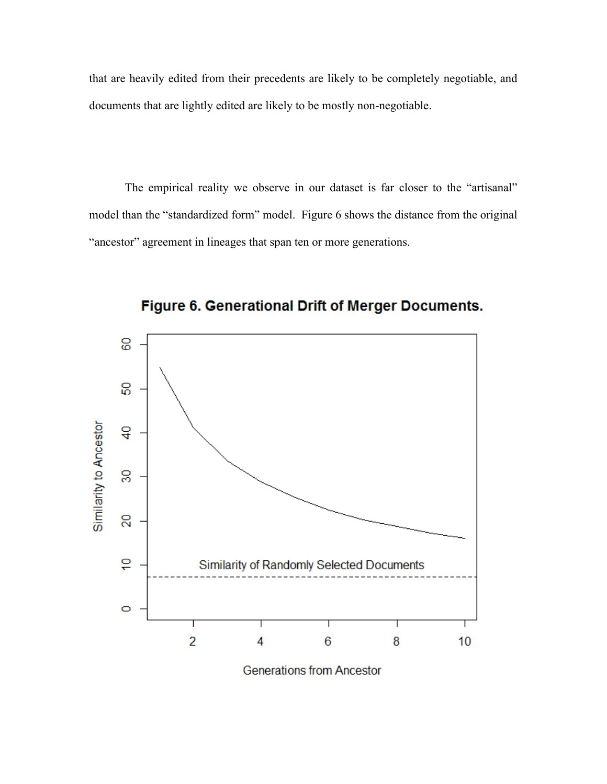that are heavily edited from their precedents are likely to be completely negotiable, and documents that are lightly edited are likely to be mostly non-negotiable.

The empirical reality we observe in our dataset is far closer to the "artisanal" model than the "standardized form" model. Figure 6 shows the distance from the original "ancestor" agreement in lineages that span ten or more generations.



Figure 6. Generational Drift of Merger Documents.

**Generations from Ancestor**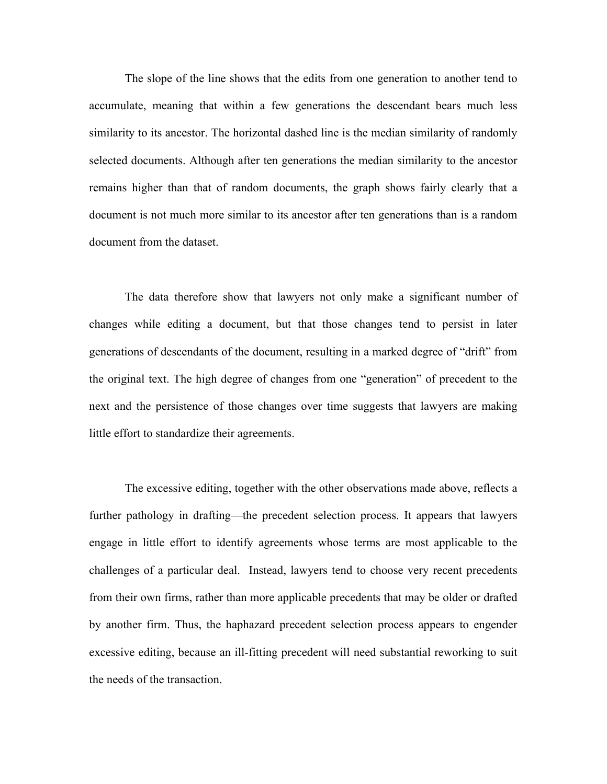The slope of the line shows that the edits from one generation to another tend to accumulate, meaning that within a few generations the descendant bears much less similarity to its ancestor. The horizontal dashed line is the median similarity of randomly selected documents. Although after ten generations the median similarity to the ancestor remains higher than that of random documents, the graph shows fairly clearly that a document is not much more similar to its ancestor after ten generations than is a random document from the dataset.

The data therefore show that lawyers not only make a significant number of changes while editing a document, but that those changes tend to persist in later generations of descendants of the document, resulting in a marked degree of "drift" from the original text. The high degree of changes from one "generation" of precedent to the next and the persistence of those changes over time suggests that lawyers are making little effort to standardize their agreements.

The excessive editing, together with the other observations made above, reflects a further pathology in drafting—the precedent selection process. It appears that lawyers engage in little effort to identify agreements whose terms are most applicable to the challenges of a particular deal. Instead, lawyers tend to choose very recent precedents from their own firms, rather than more applicable precedents that may be older or drafted by another firm. Thus, the haphazard precedent selection process appears to engender excessive editing, because an ill-fitting precedent will need substantial reworking to suit the needs of the transaction.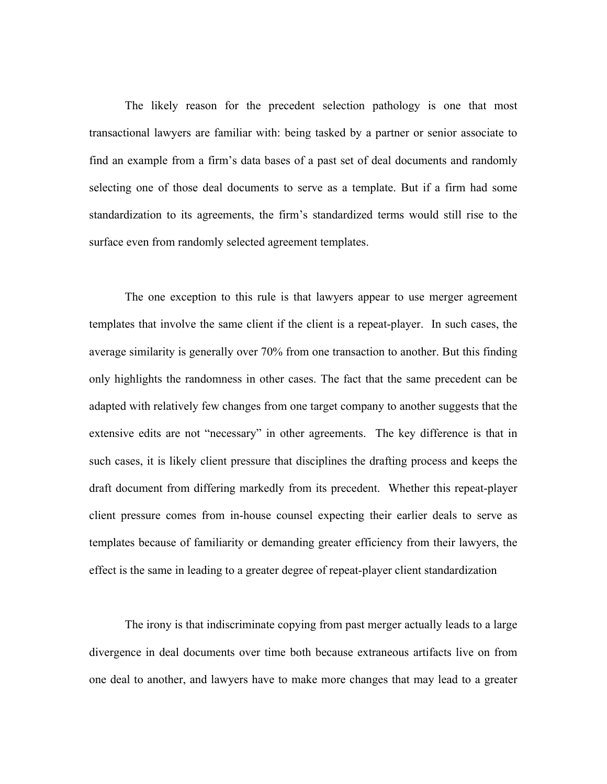The likely reason for the precedent selection pathology is one that most transactional lawyers are familiar with: being tasked by a partner or senior associate to find an example from a firm's data bases of a past set of deal documents and randomly selecting one of those deal documents to serve as a template. But if a firm had some standardization to its agreements, the firm's standardized terms would still rise to the surface even from randomly selected agreement templates.

The one exception to this rule is that lawyers appear to use merger agreement templates that involve the same client if the client is a repeat-player. In such cases, the average similarity is generally over 70% from one transaction to another. But this finding only highlights the randomness in other cases. The fact that the same precedent can be adapted with relatively few changes from one target company to another suggests that the extensive edits are not "necessary" in other agreements. The key difference is that in such cases, it is likely client pressure that disciplines the drafting process and keeps the draft document from differing markedly from its precedent. Whether this repeat-player client pressure comes from in-house counsel expecting their earlier deals to serve as templates because of familiarity or demanding greater efficiency from their lawyers, the effect is the same in leading to a greater degree of repeat-player client standardization

The irony is that indiscriminate copying from past merger actually leads to a large divergence in deal documents over time both because extraneous artifacts live on from one deal to another, and lawyers have to make more changes that may lead to a greater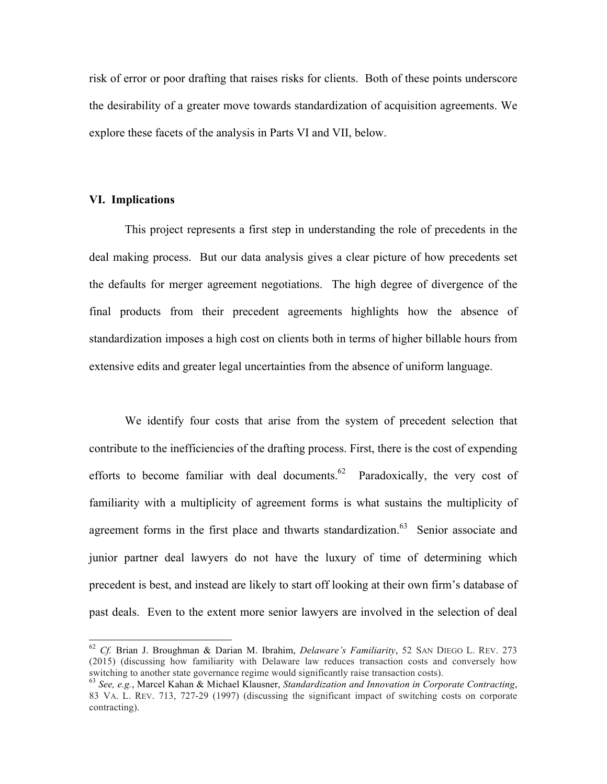risk of error or poor drafting that raises risks for clients. Both of these points underscore the desirability of a greater move towards standardization of acquisition agreements. We explore these facets of the analysis in Parts VI and VII, below.

#### **VI. Implications**

This project represents a first step in understanding the role of precedents in the deal making process. But our data analysis gives a clear picture of how precedents set the defaults for merger agreement negotiations. The high degree of divergence of the final products from their precedent agreements highlights how the absence of standardization imposes a high cost on clients both in terms of higher billable hours from extensive edits and greater legal uncertainties from the absence of uniform language.

We identify four costs that arise from the system of precedent selection that contribute to the inefficiencies of the drafting process. First, there is the cost of expending efforts to become familiar with deal documents.<sup>62</sup> Paradoxically, the very cost of familiarity with a multiplicity of agreement forms is what sustains the multiplicity of agreement forms in the first place and thwarts standardization.<sup>63</sup> Senior associate and junior partner deal lawyers do not have the luxury of time of determining which precedent is best, and instead are likely to start off looking at their own firm's database of past deals. Even to the extent more senior lawyers are involved in the selection of deal

 <sup>62</sup> *Cf.* Brian J. Broughman & Darian M. Ibrahim, *Delaware's Familiarity*, 52 SAN DIEGO L. REV. <sup>273</sup> (2015) (discussing how familiarity with Delaware law reduces transaction costs and conversely how switching to another state governance regime would significantly raise transaction costs). 63 *See, e.g.*, Marcel Kahan & Michael Klausner, *Standardization and Innovation in Corporate Contracting*,

<sup>83</sup> VA. L. REV. 713, 727-29 (1997) (discussing the significant impact of switching costs on corporate contracting).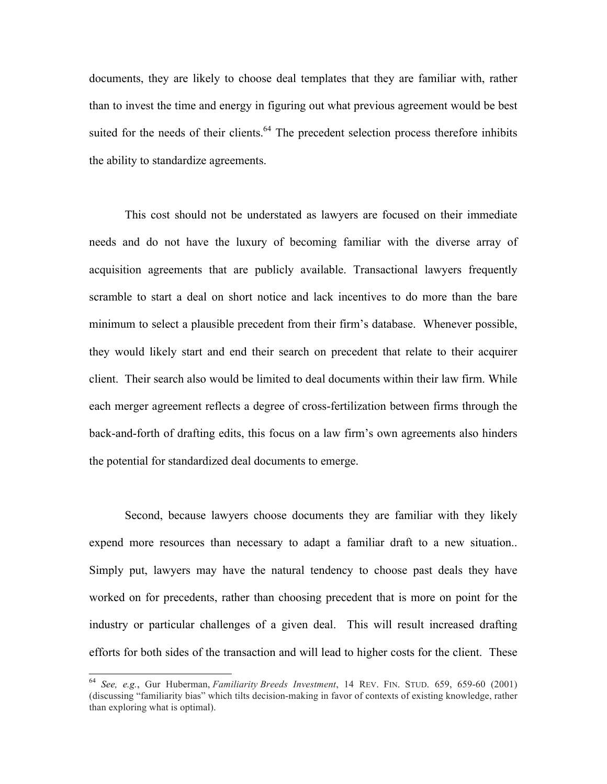documents, they are likely to choose deal templates that they are familiar with, rather than to invest the time and energy in figuring out what previous agreement would be best suited for the needs of their clients.<sup>64</sup> The precedent selection process therefore inhibits the ability to standardize agreements.

This cost should not be understated as lawyers are focused on their immediate needs and do not have the luxury of becoming familiar with the diverse array of acquisition agreements that are publicly available. Transactional lawyers frequently scramble to start a deal on short notice and lack incentives to do more than the bare minimum to select a plausible precedent from their firm's database. Whenever possible, they would likely start and end their search on precedent that relate to their acquirer client. Their search also would be limited to deal documents within their law firm. While each merger agreement reflects a degree of cross-fertilization between firms through the back-and-forth of drafting edits, this focus on a law firm's own agreements also hinders the potential for standardized deal documents to emerge.

Second, because lawyers choose documents they are familiar with they likely expend more resources than necessary to adapt a familiar draft to a new situation.. Simply put, lawyers may have the natural tendency to choose past deals they have worked on for precedents, rather than choosing precedent that is more on point for the industry or particular challenges of a given deal. This will result increased drafting efforts for both sides of the transaction and will lead to higher costs for the client. These

 <sup>64</sup> *See, e.g.*, Gur Huberman, *Familiarity Breeds Investment*, 14 REV. FIN. STUD. 659, 659-60 (2001) (discussing "familiarity bias" which tilts decision-making in favor of contexts of existing knowledge, rather than exploring what is optimal).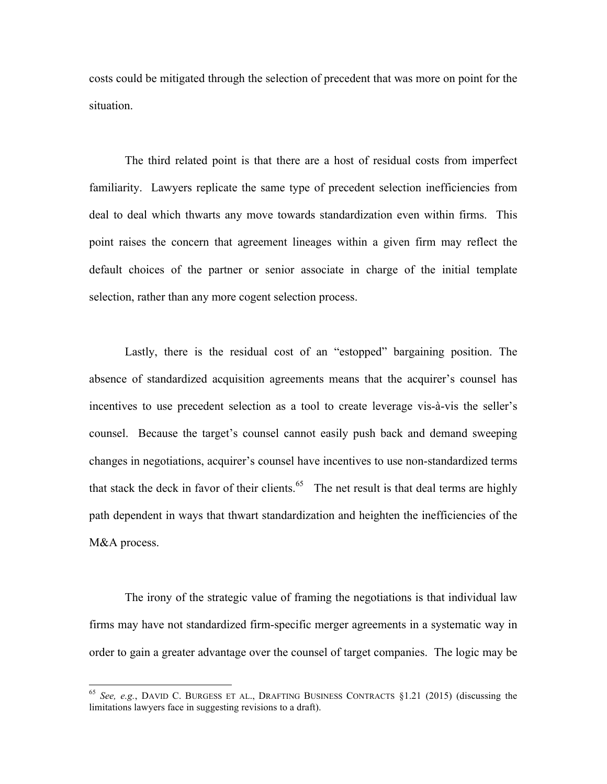costs could be mitigated through the selection of precedent that was more on point for the situation.

The third related point is that there are a host of residual costs from imperfect familiarity. Lawyers replicate the same type of precedent selection inefficiencies from deal to deal which thwarts any move towards standardization even within firms. This point raises the concern that agreement lineages within a given firm may reflect the default choices of the partner or senior associate in charge of the initial template selection, rather than any more cogent selection process.

Lastly, there is the residual cost of an "estopped" bargaining position. The absence of standardized acquisition agreements means that the acquirer's counsel has incentives to use precedent selection as a tool to create leverage vis-à-vis the seller's counsel. Because the target's counsel cannot easily push back and demand sweeping changes in negotiations, acquirer's counsel have incentives to use non-standardized terms that stack the deck in favor of their clients.<sup>65</sup> The net result is that deal terms are highly path dependent in ways that thwart standardization and heighten the inefficiencies of the M&A process.

The irony of the strategic value of framing the negotiations is that individual law firms may have not standardized firm-specific merger agreements in a systematic way in order to gain a greater advantage over the counsel of target companies. The logic may be

 <sup>65</sup> *See, e.g.*, DAVID C. BURGESS ET AL., DRAFTING BUSINESS CONTRACTS §1.21 (2015) (discussing the limitations lawyers face in suggesting revisions to a draft).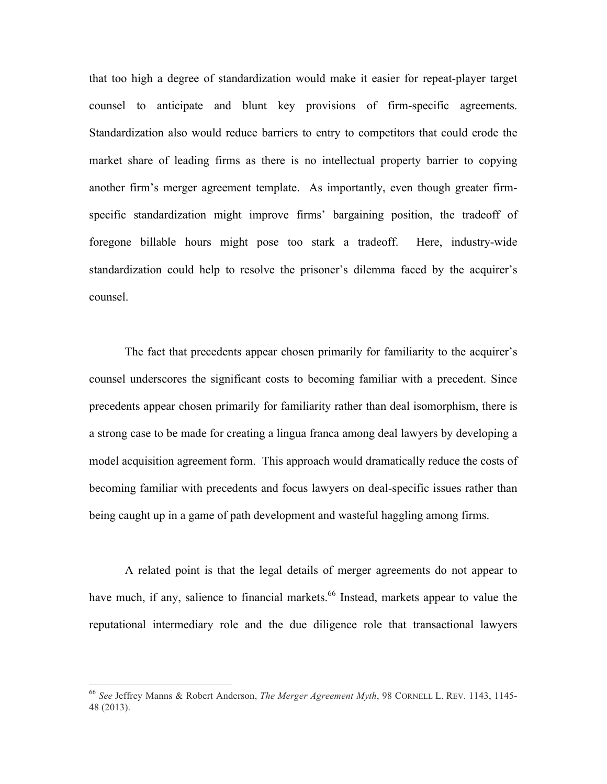that too high a degree of standardization would make it easier for repeat-player target counsel to anticipate and blunt key provisions of firm-specific agreements. Standardization also would reduce barriers to entry to competitors that could erode the market share of leading firms as there is no intellectual property barrier to copying another firm's merger agreement template. As importantly, even though greater firmspecific standardization might improve firms' bargaining position, the tradeoff of foregone billable hours might pose too stark a tradeoff. Here, industry-wide standardization could help to resolve the prisoner's dilemma faced by the acquirer's counsel.

The fact that precedents appear chosen primarily for familiarity to the acquirer's counsel underscores the significant costs to becoming familiar with a precedent. Since precedents appear chosen primarily for familiarity rather than deal isomorphism, there is a strong case to be made for creating a lingua franca among deal lawyers by developing a model acquisition agreement form. This approach would dramatically reduce the costs of becoming familiar with precedents and focus lawyers on deal-specific issues rather than being caught up in a game of path development and wasteful haggling among firms.

A related point is that the legal details of merger agreements do not appear to have much, if any, salience to financial markets.<sup>66</sup> Instead, markets appear to value the reputational intermediary role and the due diligence role that transactional lawyers

 <sup>66</sup> *See* Jeffrey Manns & Robert Anderson, *The Merger Agreement Myth*, 98 CORNELL L. REV. 1143, 1145- 48 (2013).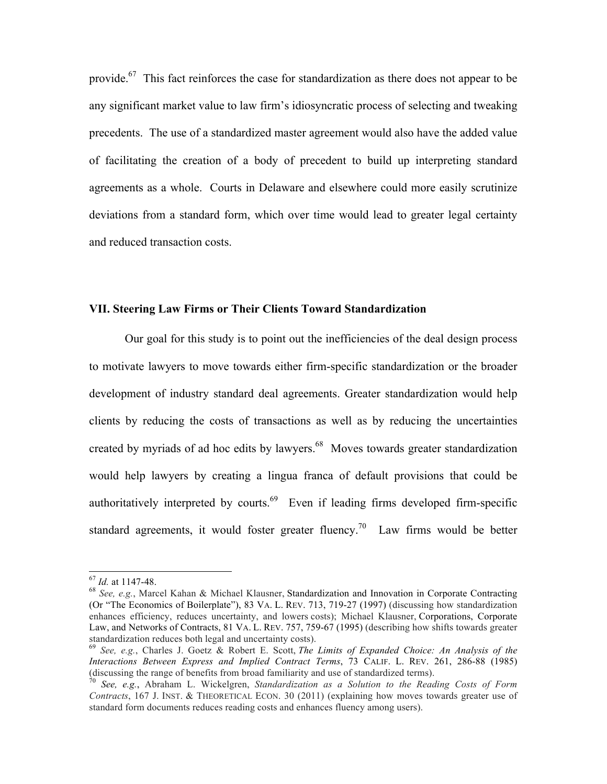provide.<sup>67</sup> This fact reinforces the case for standardization as there does not appear to be any significant market value to law firm's idiosyncratic process of selecting and tweaking precedents. The use of a standardized master agreement would also have the added value of facilitating the creation of a body of precedent to build up interpreting standard agreements as a whole. Courts in Delaware and elsewhere could more easily scrutinize deviations from a standard form, which over time would lead to greater legal certainty and reduced transaction costs.

#### **VII. Steering Law Firms or Their Clients Toward Standardization**

Our goal for this study is to point out the inefficiencies of the deal design process to motivate lawyers to move towards either firm-specific standardization or the broader development of industry standard deal agreements. Greater standardization would help clients by reducing the costs of transactions as well as by reducing the uncertainties created by myriads of ad hoc edits by lawyers.<sup>68</sup> Moves towards greater standardization would help lawyers by creating a lingua franca of default provisions that could be authoritatively interpreted by courts.<sup>69</sup> Even if leading firms developed firm-specific standard agreements, it would foster greater fluency.<sup>70</sup> Law firms would be better

<sup>67</sup> *Id.* at 1147-48. 68 *See, e.g.*, Marcel Kahan & Michael Klausner, Standardization and Innovation in Corporate Contracting (Or "The Economics of Boilerplate"), 83 VA. L. REV. 713, 719-27 (1997) (discussing how standardization enhances efficiency, reduces uncertainty, and lowers costs); Michael Klausner, Corporations, Corporate Law, and Networks of Contracts, 81 VA. L. REV. 757, 759-67 (1995) (describing how shifts towards greater standardization reduces both legal and uncertainty costs). <sup>69</sup> *See, e.g.*, Charles J. Goetz & Robert E. Scott, *The Limits of Expanded Choice: An Analysis of the* 

*Interactions Between Express and Implied Contract Terms*, 73 CALIF. L. REV. 261, 286-88 (1985) (discussing the range of benefits from broad familiarity and use of standardized terms). 70 *See, e.g.*, Abraham L. Wickelgren, *Standardization as a Solution to the Reading Costs of Form* 

*Contracts*, 167 J. INST. & THEORETICAL ECON. 30 (2011) (explaining how moves towards greater use of standard form documents reduces reading costs and enhances fluency among users).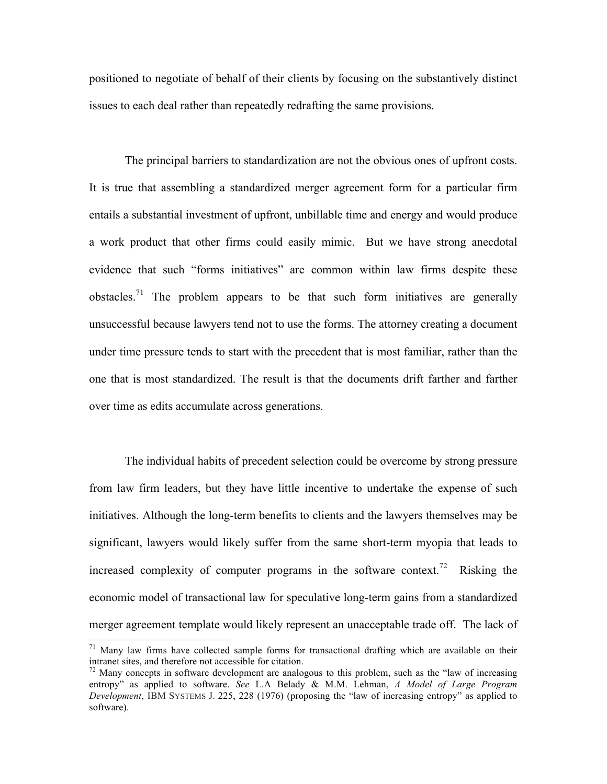positioned to negotiate of behalf of their clients by focusing on the substantively distinct issues to each deal rather than repeatedly redrafting the same provisions.

The principal barriers to standardization are not the obvious ones of upfront costs. It is true that assembling a standardized merger agreement form for a particular firm entails a substantial investment of upfront, unbillable time and energy and would produce a work product that other firms could easily mimic. But we have strong anecdotal evidence that such "forms initiatives" are common within law firms despite these obstacles.<sup>71</sup> The problem appears to be that such form initiatives are generally unsuccessful because lawyers tend not to use the forms. The attorney creating a document under time pressure tends to start with the precedent that is most familiar, rather than the one that is most standardized. The result is that the documents drift farther and farther over time as edits accumulate across generations.

The individual habits of precedent selection could be overcome by strong pressure from law firm leaders, but they have little incentive to undertake the expense of such initiatives. Although the long-term benefits to clients and the lawyers themselves may be significant, lawyers would likely suffer from the same short-term myopia that leads to increased complexity of computer programs in the software context.<sup>72</sup> Risking the economic model of transactional law for speculative long-term gains from a standardized merger agreement template would likely represent an unacceptable trade off. The lack of

 $71$  Many law firms have collected sample forms for transactional drafting which are available on their intranet sites, and therefore not accessible for citation.

 $72$  Many concepts in software development are analogous to this problem, such as the "law of increasing" entropy" as applied to software. *See* L.A Belady & M.M. Lehman, *A Model of Large Program Development*, IBM SYSTEMS J. 225, 228 (1976) (proposing the "law of increasing entropy" as applied to software).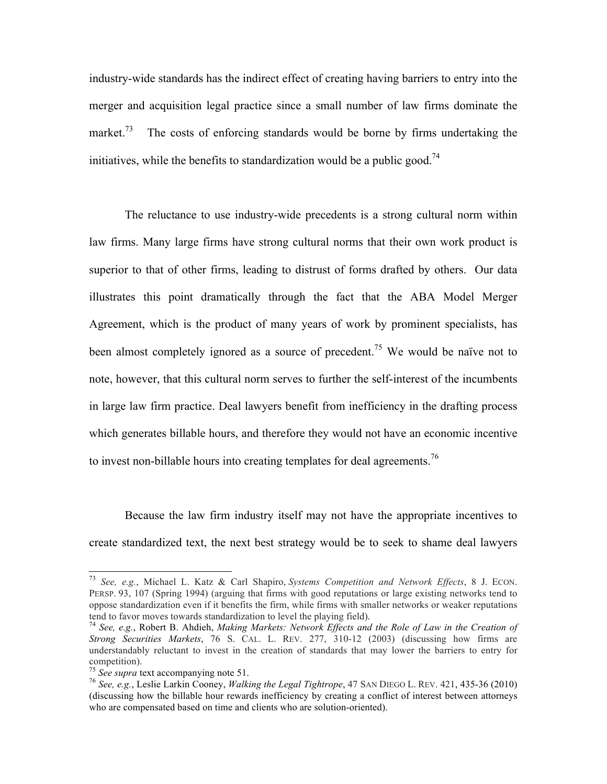industry-wide standards has the indirect effect of creating having barriers to entry into the merger and acquisition legal practice since a small number of law firms dominate the market.<sup>73</sup> The costs of enforcing standards would be borne by firms undertaking the initiatives, while the benefits to standardization would be a public good.<sup>74</sup>

The reluctance to use industry-wide precedents is a strong cultural norm within law firms. Many large firms have strong cultural norms that their own work product is superior to that of other firms, leading to distrust of forms drafted by others. Our data illustrates this point dramatically through the fact that the ABA Model Merger Agreement, which is the product of many years of work by prominent specialists, has been almost completely ignored as a source of precedent.<sup>75</sup> We would be naïve not to note, however, that this cultural norm serves to further the self-interest of the incumbents in large law firm practice. Deal lawyers benefit from inefficiency in the drafting process which generates billable hours, and therefore they would not have an economic incentive to invest non-billable hours into creating templates for deal agreements.<sup>76</sup>

Because the law firm industry itself may not have the appropriate incentives to create standardized text, the next best strategy would be to seek to shame deal lawyers

 <sup>73</sup> *See, e.g.*, Michael L. Katz & Carl Shapiro, *Systems Competition and Network Effects*, 8 J. ECON. PERSP. 93, 107 (Spring 1994) (arguing that firms with good reputations or large existing networks tend to oppose standardization even if it benefits the firm, while firms with smaller networks or weaker reputations tend to favor moves towards standardization to level the playing field).

<sup>&</sup>lt;sup>74</sup> See, e.g., Robert B. Ahdieh, *Making Markets: Network Effects and the Role of Law in the Creation of Strong Securities Markets*, 76 S. CAL. L. REV. 277, 310-12 (2003) (discussing how firms are understandably reluctant to invest in the creation of standards that may lower the barriers to entry for competition). 75 *See supra* text accompanying note 51. <sup>76</sup> *See, e.g.*, Leslie Larkin Cooney, *Walking the Legal Tightrope*, 47 SAN DIEGO L. REV. 421, 435-36 (2010)

<sup>(</sup>discussing how the billable hour rewards inefficiency by creating a conflict of interest between attorneys who are compensated based on time and clients who are solution-oriented).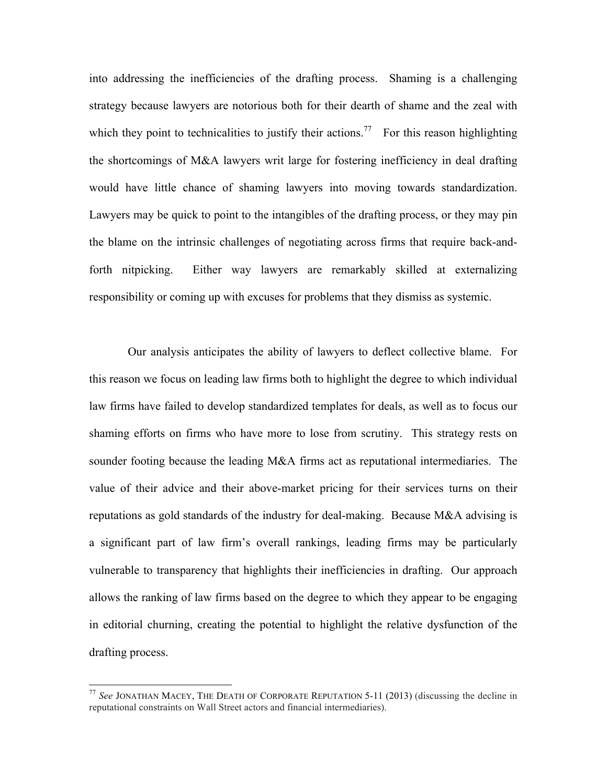into addressing the inefficiencies of the drafting process. Shaming is a challenging strategy because lawyers are notorious both for their dearth of shame and the zeal with which they point to technicalities to justify their actions.<sup>77</sup> For this reason highlighting the shortcomings of M&A lawyers writ large for fostering inefficiency in deal drafting would have little chance of shaming lawyers into moving towards standardization. Lawyers may be quick to point to the intangibles of the drafting process, or they may pin the blame on the intrinsic challenges of negotiating across firms that require back-andforth nitpicking. Either way lawyers are remarkably skilled at externalizing responsibility or coming up with excuses for problems that they dismiss as systemic.

Our analysis anticipates the ability of lawyers to deflect collective blame. For this reason we focus on leading law firms both to highlight the degree to which individual law firms have failed to develop standardized templates for deals, as well as to focus our shaming efforts on firms who have more to lose from scrutiny. This strategy rests on sounder footing because the leading M&A firms act as reputational intermediaries. The value of their advice and their above-market pricing for their services turns on their reputations as gold standards of the industry for deal-making. Because M&A advising is a significant part of law firm's overall rankings, leading firms may be particularly vulnerable to transparency that highlights their inefficiencies in drafting. Our approach allows the ranking of law firms based on the degree to which they appear to be engaging in editorial churning, creating the potential to highlight the relative dysfunction of the drafting process.

 <sup>77</sup> *See* JONATHAN MACEY, THE DEATH OF CORPORATE REPUTATION 5-11 (2013) (discussing the decline in reputational constraints on Wall Street actors and financial intermediaries).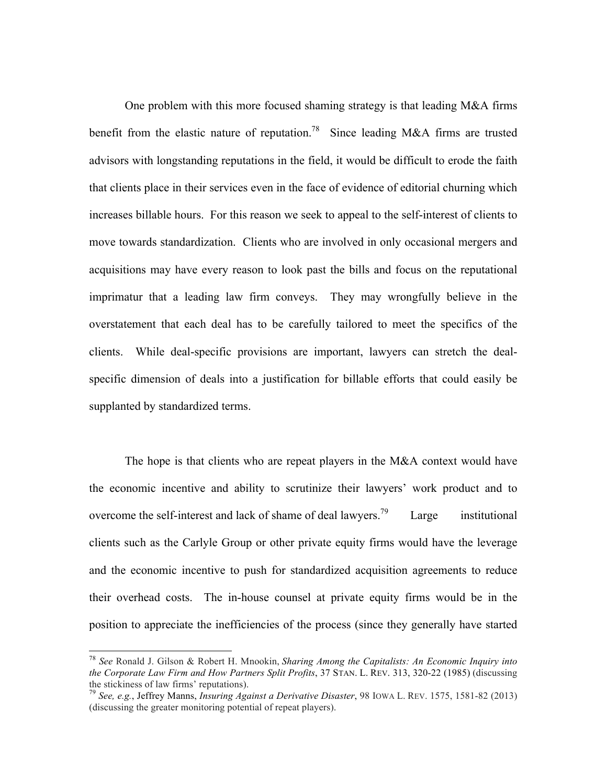One problem with this more focused shaming strategy is that leading M&A firms benefit from the elastic nature of reputation.<sup>78</sup> Since leading M&A firms are trusted advisors with longstanding reputations in the field, it would be difficult to erode the faith that clients place in their services even in the face of evidence of editorial churning which increases billable hours. For this reason we seek to appeal to the self-interest of clients to move towards standardization. Clients who are involved in only occasional mergers and acquisitions may have every reason to look past the bills and focus on the reputational imprimatur that a leading law firm conveys. They may wrongfully believe in the overstatement that each deal has to be carefully tailored to meet the specifics of the clients. While deal-specific provisions are important, lawyers can stretch the dealspecific dimension of deals into a justification for billable efforts that could easily be supplanted by standardized terms.

The hope is that clients who are repeat players in the M&A context would have the economic incentive and ability to scrutinize their lawyers' work product and to overcome the self-interest and lack of shame of deal lawyers.<sup>79</sup> Large institutional clients such as the Carlyle Group or other private equity firms would have the leverage and the economic incentive to push for standardized acquisition agreements to reduce their overhead costs. The in-house counsel at private equity firms would be in the position to appreciate the inefficiencies of the process (since they generally have started

 <sup>78</sup> *See* Ronald J. Gilson & Robert H. Mnookin, *Sharing Among the Capitalists: An Economic Inquiry into the Corporate Law Firm and How Partners Split Profits*, 37 STAN. L. REV. 313, 320-22 (1985) (discussing the stickiness of law firms' reputations).

<sup>&</sup>lt;sup>79</sup> See, e.g., Jeffrey Manns, *Insuring Against a Derivative Disaster*, 98 IOWA L. REV. 1575, 1581-82 (2013) (discussing the greater monitoring potential of repeat players).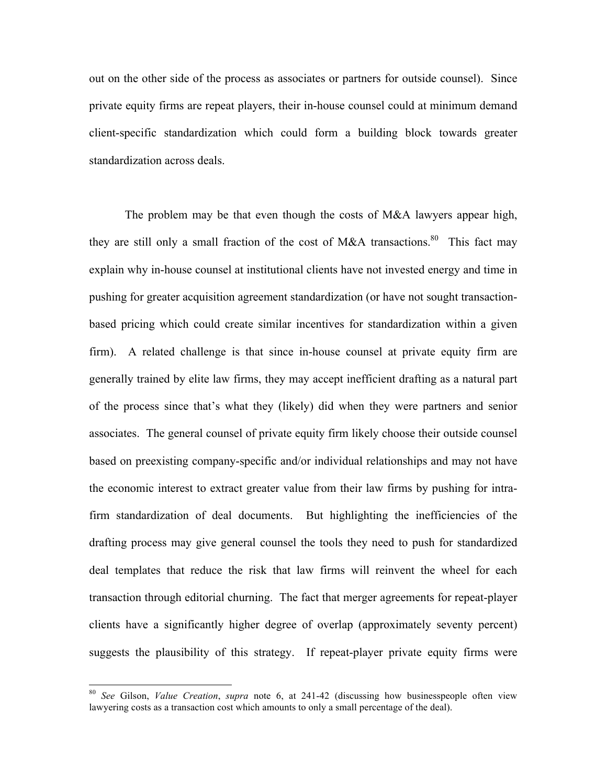out on the other side of the process as associates or partners for outside counsel). Since private equity firms are repeat players, their in-house counsel could at minimum demand client-specific standardization which could form a building block towards greater standardization across deals.

The problem may be that even though the costs of M&A lawyers appear high, they are still only a small fraction of the cost of M&A transactions.<sup>80</sup> This fact may explain why in-house counsel at institutional clients have not invested energy and time in pushing for greater acquisition agreement standardization (or have not sought transactionbased pricing which could create similar incentives for standardization within a given firm). A related challenge is that since in-house counsel at private equity firm are generally trained by elite law firms, they may accept inefficient drafting as a natural part of the process since that's what they (likely) did when they were partners and senior associates. The general counsel of private equity firm likely choose their outside counsel based on preexisting company-specific and/or individual relationships and may not have the economic interest to extract greater value from their law firms by pushing for intrafirm standardization of deal documents. But highlighting the inefficiencies of the drafting process may give general counsel the tools they need to push for standardized deal templates that reduce the risk that law firms will reinvent the wheel for each transaction through editorial churning. The fact that merger agreements for repeat-player clients have a significantly higher degree of overlap (approximately seventy percent) suggests the plausibility of this strategy. If repeat-player private equity firms were

 <sup>80</sup> *See* Gilson, *Value Creation*, *supra* note 6, at 241-42 (discussing how businesspeople often view lawyering costs as a transaction cost which amounts to only a small percentage of the deal).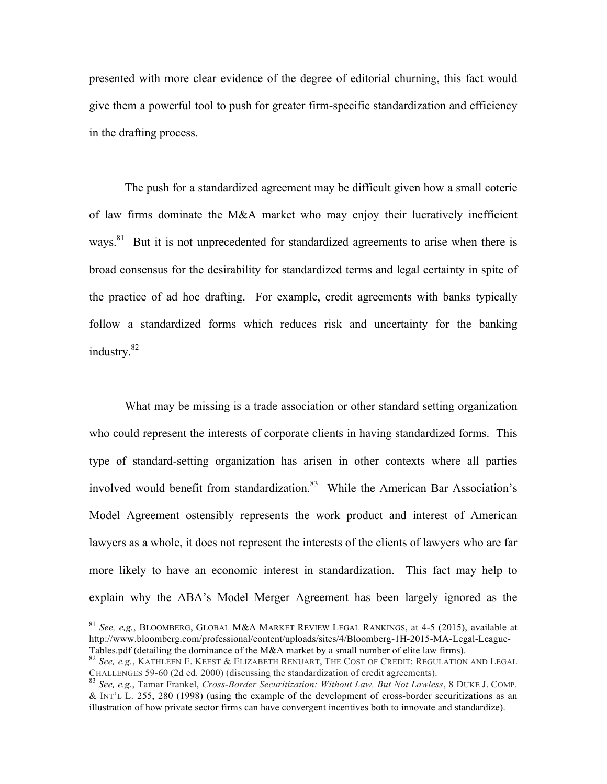presented with more clear evidence of the degree of editorial churning, this fact would give them a powerful tool to push for greater firm-specific standardization and efficiency in the drafting process.

The push for a standardized agreement may be difficult given how a small coterie of law firms dominate the M&A market who may enjoy their lucratively inefficient ways.<sup>81</sup> But it is not unprecedented for standardized agreements to arise when there is broad consensus for the desirability for standardized terms and legal certainty in spite of the practice of ad hoc drafting. For example, credit agreements with banks typically follow a standardized forms which reduces risk and uncertainty for the banking industry.<sup>82</sup>

What may be missing is a trade association or other standard setting organization who could represent the interests of corporate clients in having standardized forms. This type of standard-setting organization has arisen in other contexts where all parties involved would benefit from standardization.<sup>83</sup> While the American Bar Association's Model Agreement ostensibly represents the work product and interest of American lawyers as a whole, it does not represent the interests of the clients of lawyers who are far more likely to have an economic interest in standardization. This fact may help to explain why the ABA's Model Merger Agreement has been largely ignored as the

 <sup>81</sup> *See, e,g.*, BLOOMBERG, GLOBAL M&A MARKET REVIEW LEGAL RANKINGS, at 4-5 (2015), available at http://www.bloomberg.com/professional/content/uploads/sites/4/Bloomberg-1H-2015-MA-Legal-League-

Tables.pdf (detailing the dominance of the M&A market by a small number of elite law firms).<br><sup>82</sup> *See, e.g.*, KATHLEEN E. KEEST & ELIZABETH RENUART, THE COST OF CREDIT: REGULATION AND LEGAL CHALLENGES 59-60 (2d ed. 2000) (discussing the standardization of credit agreements). 83 *See, e.g.*, Tamar Frankel, *Cross-Border Securitization: Without Law, But Not Lawless*, 8 DUKE J. COMP.

<sup>&</sup>amp; INT'L L. 255, 280 (1998) (using the example of the development of cross-border securitizations as an illustration of how private sector firms can have convergent incentives both to innovate and standardize).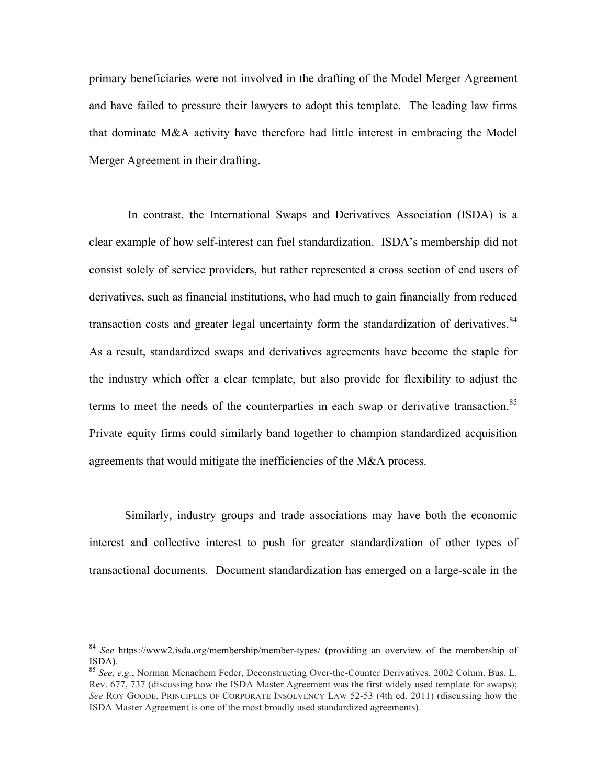primary beneficiaries were not involved in the drafting of the Model Merger Agreement and have failed to pressure their lawyers to adopt this template. The leading law firms that dominate M&A activity have therefore had little interest in embracing the Model Merger Agreement in their drafting.

In contrast, the International Swaps and Derivatives Association (ISDA) is a clear example of how self-interest can fuel standardization. ISDA's membership did not consist solely of service providers, but rather represented a cross section of end users of derivatives, such as financial institutions, who had much to gain financially from reduced transaction costs and greater legal uncertainty form the standardization of derivatives.  $84$ As a result, standardized swaps and derivatives agreements have become the staple for the industry which offer a clear template, but also provide for flexibility to adjust the terms to meet the needs of the counterparties in each swap or derivative transaction.<sup>85</sup> Private equity firms could similarly band together to champion standardized acquisition agreements that would mitigate the inefficiencies of the M&A process.

Similarly, industry groups and trade associations may have both the economic interest and collective interest to push for greater standardization of other types of transactional documents. Document standardization has emerged on a large-scale in the

 <sup>84</sup> *See* https://www2.isda.org/membership/member-types/ (providing an overview of the membership of ISDA). <sup>85</sup> *See, e.g.*, Norman Menachem Feder, Deconstructing Over-the-Counter Derivatives, 2002 Colum. Bus. L.

Rev. 677, 737 (discussing how the ISDA Master Agreement was the first widely used template for swaps); *See* ROY GOODE, PRINCIPLES OF CORPORATE INSOLVENCY LAW 52-53 (4th ed. 2011) (discussing how the ISDA Master Agreement is one of the most broadly used standardized agreements).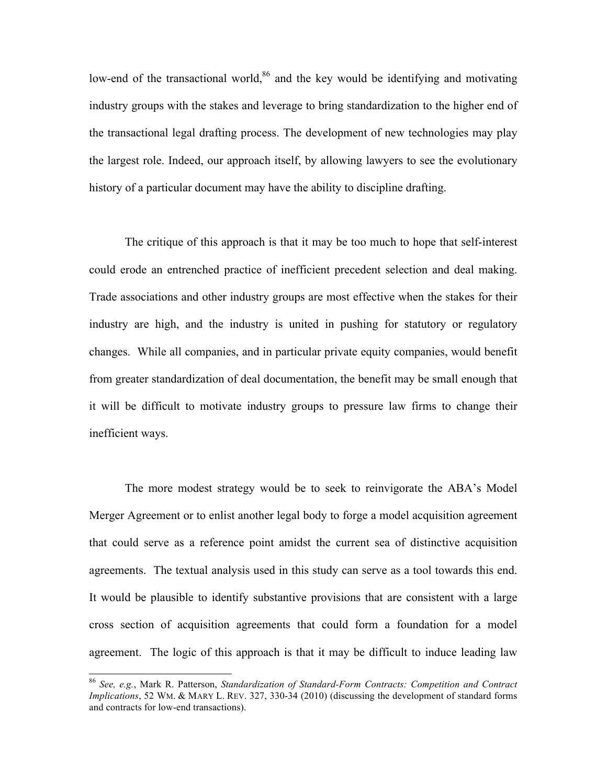low-end of the transactional world, $86$  and the key would be identifying and motivating industry groups with the stakes and leverage to bring standardization to the higher end of the transactional legal drafting process. The development of new technologies may play the largest role. Indeed, our approach itself, by allowing lawyers to see the evolutionary history of a particular document may have the ability to discipline drafting.

The critique of this approach is that it may be too much to hope that self-interest could erode an entrenched practice of inefficient precedent selection and deal making. Trade associations and other industry groups are most effective when the stakes for their industry are high, and the industry is united in pushing for statutory or regulatory changes. While all companies, and in particular private equity companies, would benefit from greater standardization of deal documentation, the benefit may be small enough that it will be difficult to motivate industry groups to pressure law firms to change their inefficient ways.

The more modest strategy would be to seek to reinvigorate the ABA's Model Merger Agreement or to enlist another legal body to forge a model acquisition agreement that could serve as a reference point amidst the current sea of distinctive acquisition agreements. The textual analysis used in this study can serve as a tool towards this end. It would be plausible to identify substantive provisions that are consistent with a large cross section of acquisition agreements that could form a foundation for a model agreement. The logic of this approach is that it may be difficult to induce leading law

 <sup>86</sup> *See, e.g.*, Mark R. Patterson, *Standardization of Standard-Form Contracts: Competition and Contract Implications*, 52 WM. & MARY L. REV. 327, 330-34 (2010) (discussing the development of standard forms and contracts for low-end transactions).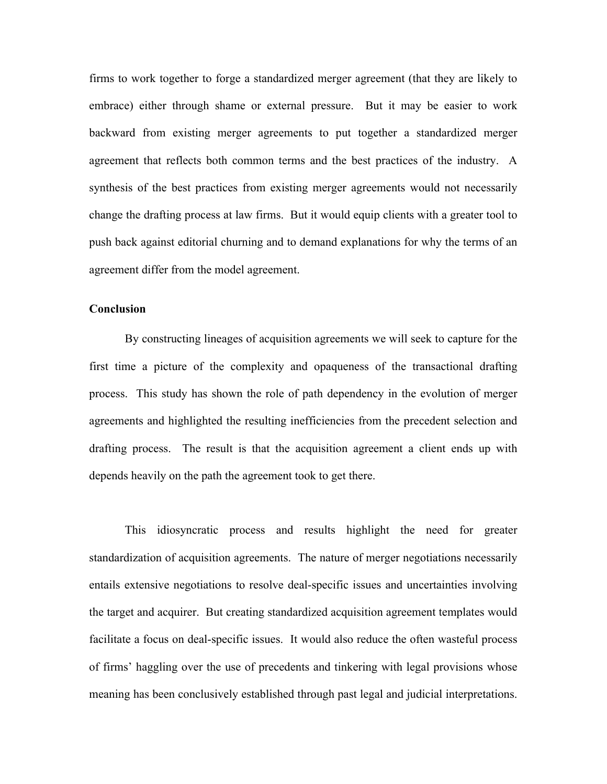firms to work together to forge a standardized merger agreement (that they are likely to embrace) either through shame or external pressure. But it may be easier to work backward from existing merger agreements to put together a standardized merger agreement that reflects both common terms and the best practices of the industry. A synthesis of the best practices from existing merger agreements would not necessarily change the drafting process at law firms. But it would equip clients with a greater tool to push back against editorial churning and to demand explanations for why the terms of an agreement differ from the model agreement.

#### **Conclusion**

By constructing lineages of acquisition agreements we will seek to capture for the first time a picture of the complexity and opaqueness of the transactional drafting process. This study has shown the role of path dependency in the evolution of merger agreements and highlighted the resulting inefficiencies from the precedent selection and drafting process. The result is that the acquisition agreement a client ends up with depends heavily on the path the agreement took to get there.

This idiosyncratic process and results highlight the need for greater standardization of acquisition agreements. The nature of merger negotiations necessarily entails extensive negotiations to resolve deal-specific issues and uncertainties involving the target and acquirer. But creating standardized acquisition agreement templates would facilitate a focus on deal-specific issues. It would also reduce the often wasteful process of firms' haggling over the use of precedents and tinkering with legal provisions whose meaning has been conclusively established through past legal and judicial interpretations.